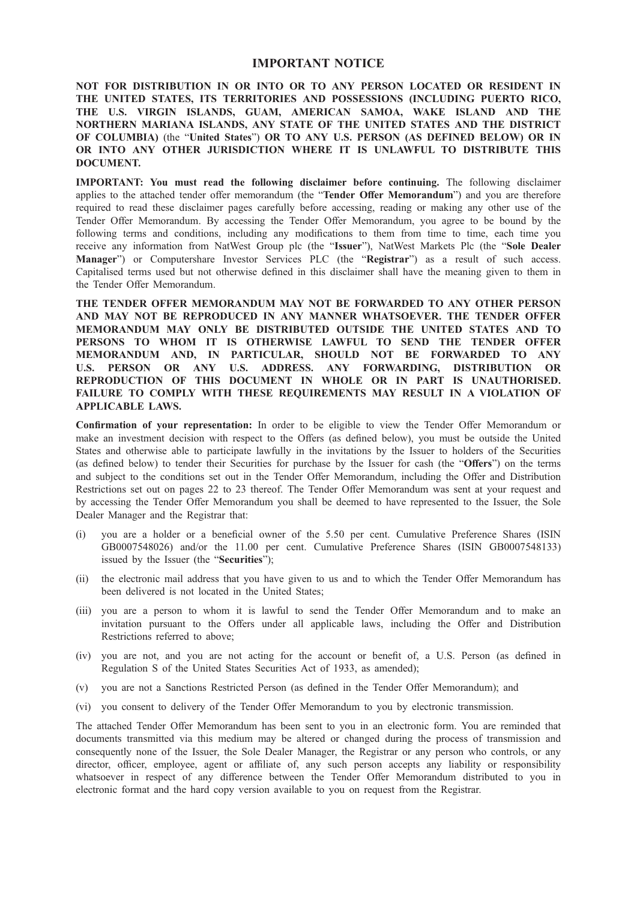### IMPORTANT NOTICE

NOT FOR DISTRIBUTION IN OR INTO OR TO ANY PERSON LOCATED OR RESIDENT IN THE UNITED STATES, ITS TERRITORIES AND POSSESSIONS (INCLUDING PUERTO RICO, THE U.S. VIRGIN ISLANDS, GUAM, AMERICAN SAMOA, WAKE ISLAND AND THE NORTHERN MARIANA ISLANDS, ANY STATE OF THE UNITED STATES AND THE DISTRICT OF COLUMBIA) (the "United States") OR TO ANY U.S. PERSON (AS DEFINED BELOW) OR IN OR INTO ANY OTHER JURISDICTION WHERE IT IS UNLAWFUL TO DISTRIBUTE THIS DOCUMENT.

IMPORTANT: You must read the following disclaimer before continuing. The following disclaimer applies to the attached tender offer memorandum (the "Tender Offer Memorandum") and you are therefore required to read these disclaimer pages carefully before accessing, reading or making any other use of the Tender Offer Memorandum. By accessing the Tender Offer Memorandum, you agree to be bound by the following terms and conditions, including any modifications to them from time to time, each time you receive any information from NatWest Group plc (the "Issuer"), NatWest Markets Plc (the "Sole Dealer Manager") or Computershare Investor Services PLC (the "Registrar") as a result of such access. Capitalised terms used but not otherwise defined in this disclaimer shall have the meaning given to them in the Tender Offer Memorandum.

THE TENDER OFFER MEMORANDUM MAY NOT BE FORWARDED TO ANY OTHER PERSON AND MAY NOT BE REPRODUCED IN ANY MANNER WHATSOEVER. THE TENDER OFFER MEMORANDUM MAY ONLY BE DISTRIBUTED OUTSIDE THE UNITED STATES AND TO PERSONS TO WHOM IT IS OTHERWISE LAWFUL TO SEND THE TENDER OFFER MEMORANDUM AND, IN PARTICULAR, SHOULD NOT BE FORWARDED TO ANY U.S. PERSON OR ANY U.S. ADDRESS. ANY FORWARDING, DISTRIBUTION OR REPRODUCTION OF THIS DOCUMENT IN WHOLE OR IN PART IS UNAUTHORISED. FAILURE TO COMPLY WITH THESE REQUIREMENTS MAY RESULT IN A VIOLATION OF APPLICABLE LAWS.

Confirmation of your representation: In order to be eligible to view the Tender Offer Memorandum or make an investment decision with respect to the Offers (as defined below), you must be outside the United States and otherwise able to participate lawfully in the invitations by the Issuer to holders of the Securities (as defined below) to tender their Securities for purchase by the Issuer for cash (the "Offers") on the terms and subject to the conditions set out in the Tender Offer Memorandum, including the Offer and Distribution Restrictions set out on pages 22 to 23 thereof. The Tender Offer Memorandum was sent at your request and by accessing the Tender Offer Memorandum you shall be deemed to have represented to the Issuer, the Sole Dealer Manager and the Registrar that:

- (i) you are a holder or a beneficial owner of the 5.50 per cent. Cumulative Preference Shares (ISIN GB0007548026) and/or the 11.00 per cent. Cumulative Preference Shares (ISIN GB0007548133) issued by the Issuer (the "Securities");
- (ii) the electronic mail address that you have given to us and to which the Tender Offer Memorandum has been delivered is not located in the United States;
- (iii) you are a person to whom it is lawful to send the Tender Offer Memorandum and to make an invitation pursuant to the Offers under all applicable laws, including the Offer and Distribution Restrictions referred to above;
- (iv) you are not, and you are not acting for the account or benefit of, a U.S. Person (as defined in Regulation S of the United States Securities Act of 1933, as amended);
- (v) you are not a Sanctions Restricted Person (as defined in the Tender Offer Memorandum); and
- (vi) you consent to delivery of the Tender Offer Memorandum to you by electronic transmission.

The attached Tender Offer Memorandum has been sent to you in an electronic form. You are reminded that documents transmitted via this medium may be altered or changed during the process of transmission and consequently none of the Issuer, the Sole Dealer Manager, the Registrar or any person who controls, or any director, officer, employee, agent or affiliate of, any such person accepts any liability or responsibility whatsoever in respect of any difference between the Tender Offer Memorandum distributed to you in electronic format and the hard copy version available to you on request from the Registrar.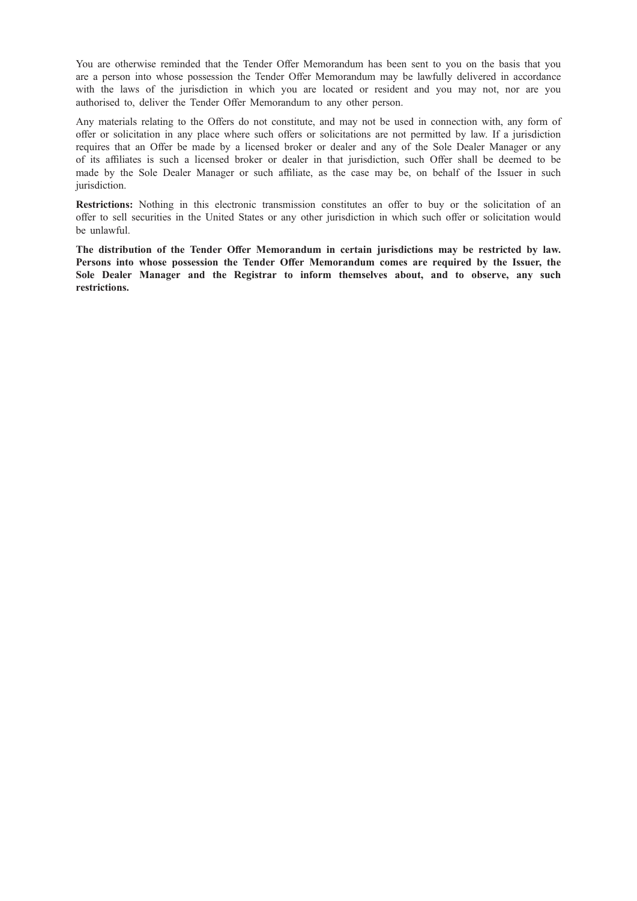You are otherwise reminded that the Tender Offer Memorandum has been sent to you on the basis that you are a person into whose possession the Tender Offer Memorandum may be lawfully delivered in accordance with the laws of the jurisdiction in which you are located or resident and you may not, nor are you authorised to, deliver the Tender Offer Memorandum to any other person.

Any materials relating to the Offers do not constitute, and may not be used in connection with, any form of offer or solicitation in any place where such offers or solicitations are not permitted by law. If a jurisdiction requires that an Offer be made by a licensed broker or dealer and any of the Sole Dealer Manager or any of its affiliates is such a licensed broker or dealer in that jurisdiction, such Offer shall be deemed to be made by the Sole Dealer Manager or such affiliate, as the case may be, on behalf of the Issuer in such jurisdiction.

Restrictions: Nothing in this electronic transmission constitutes an offer to buy or the solicitation of an offer to sell securities in the United States or any other jurisdiction in which such offer or solicitation would be unlawful.

The distribution of the Tender Offer Memorandum in certain jurisdictions may be restricted by law. Persons into whose possession the Tender Offer Memorandum comes are required by the Issuer, the Sole Dealer Manager and the Registrar to inform themselves about, and to observe, any such restrictions.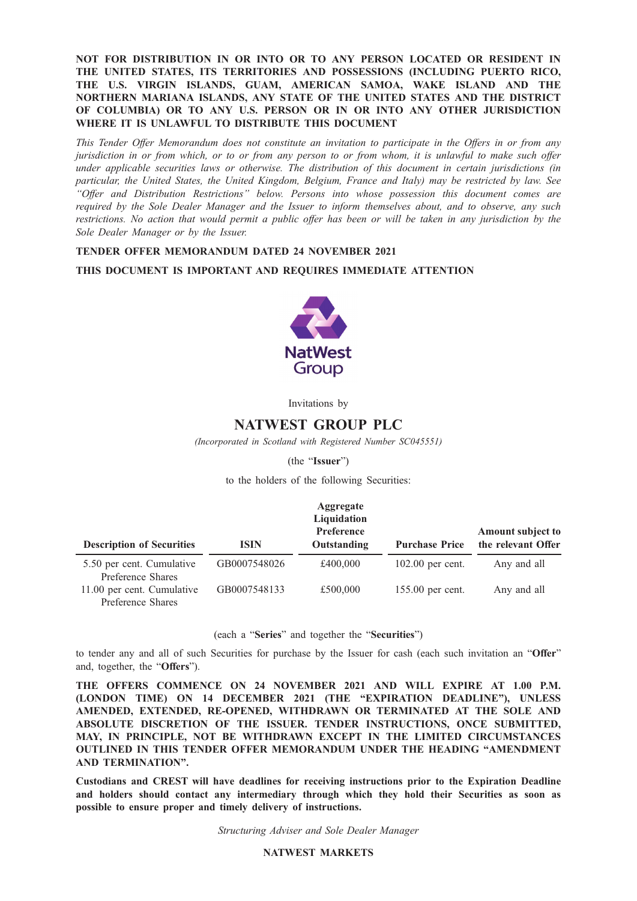NOT FOR DISTRIBUTION IN OR INTO OR TO ANY PERSON LOCATED OR RESIDENT IN THE UNITED STATES, ITS TERRITORIES AND POSSESSIONS (INCLUDING PUERTO RICO, THE U.S. VIRGIN ISLANDS, GUAM, AMERICAN SAMOA, WAKE ISLAND AND THE NORTHERN MARIANA ISLANDS, ANY STATE OF THE UNITED STATES AND THE DISTRICT OF COLUMBIA) OR TO ANY U.S. PERSON OR IN OR INTO ANY OTHER JURISDICTION WHERE IT IS UNLAWFUL TO DISTRIBUTE THIS DOCUMENT

This Tender Offer Memorandum does not constitute an invitation to participate in the Offers in or from any jurisdiction in or from which, or to or from any person to or from whom, it is unlawful to make such offer under applicable securities laws or otherwise. The distribution of this document in certain jurisdictions (in particular, the United States, the United Kingdom, Belgium, France and Italy) may be restricted by law. See "Offer and Distribution Restrictions" below. Persons into whose possession this document comes are required by the Sole Dealer Manager and the Issuer to inform themselves about, and to observe, any such restrictions. No action that would permit a public offer has been or will be taken in any jurisdiction by the Sole Dealer Manager or by the Issuer.

### TENDER OFFER MEMORANDUM DATED 24 NOVEMBER 2021

### THIS DOCUMENT IS IMPORTANT AND REQUIRES IMMEDIATE ATTENTION



Invitations by

# NATWEST GROUP PLC

(Incorporated in Scotland with Registered Number SC045551)

(the "Issuer")

to the holders of the following Securities:

| <b>Description of Securities</b>                | <b>ISIN</b>  | Aggregate<br>Liquidation<br><b>Preference</b><br>Outstanding | <b>Purchase Price</b> | Amount subject to<br>the relevant Offer |
|-------------------------------------------------|--------------|--------------------------------------------------------------|-----------------------|-----------------------------------------|
| 5.50 per cent. Cumulative<br>Preference Shares  | GB0007548026 | £400,000                                                     | $102.00$ per cent.    | Any and all                             |
| 11.00 per cent. Cumulative<br>Preference Shares | GB0007548133 | £500,000                                                     | 155.00 per cent.      | Any and all                             |

(each a "Series" and together the "Securities")

to tender any and all of such Securities for purchase by the Issuer for cash (each such invitation an "Offer" and, together, the "Offers").

THE OFFERS COMMENCE ON 24 NOVEMBER 2021 AND WILL EXPIRE AT 1.00 P.M. (LONDON TIME) ON 14 DECEMBER 2021 (THE "EXPIRATION DEADLINE"), UNLESS AMENDED, EXTENDED, RE-OPENED, WITHDRAWN OR TERMINATED AT THE SOLE AND ABSOLUTE DISCRETION OF THE ISSUER. TENDER INSTRUCTIONS, ONCE SUBMITTED, MAY, IN PRINCIPLE, NOT BE WITHDRAWN EXCEPT IN THE LIMITED CIRCUMSTANCES OUTLINED IN THIS TENDER OFFER MEMORANDUM UNDER THE HEADING "AMENDMENT AND TERMINATION".

Custodians and CREST will have deadlines for receiving instructions prior to the Expiration Deadline and holders should contact any intermediary through which they hold their Securities as soon as possible to ensure proper and timely delivery of instructions.

Structuring Adviser and Sole Dealer Manager

#### NATWEST MARKETS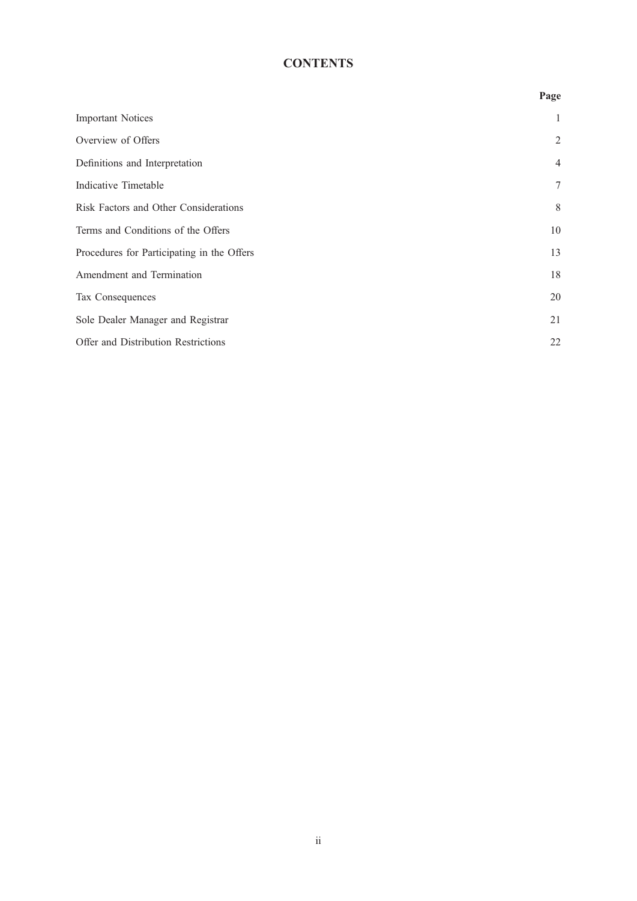# **CONTENTS**

|                                            | Page           |
|--------------------------------------------|----------------|
| <b>Important Notices</b>                   | $\mathbf{1}$   |
| Overview of Offers                         | $\overline{2}$ |
| Definitions and Interpretation             | $\overline{4}$ |
| Indicative Timetable                       | $\tau$         |
| Risk Factors and Other Considerations      | 8              |
| Terms and Conditions of the Offers         | 10             |
| Procedures for Participating in the Offers | 13             |
| Amendment and Termination                  | 18             |
| Tax Consequences                           | 20             |
| Sole Dealer Manager and Registrar          | 21             |
| Offer and Distribution Restrictions        | 22             |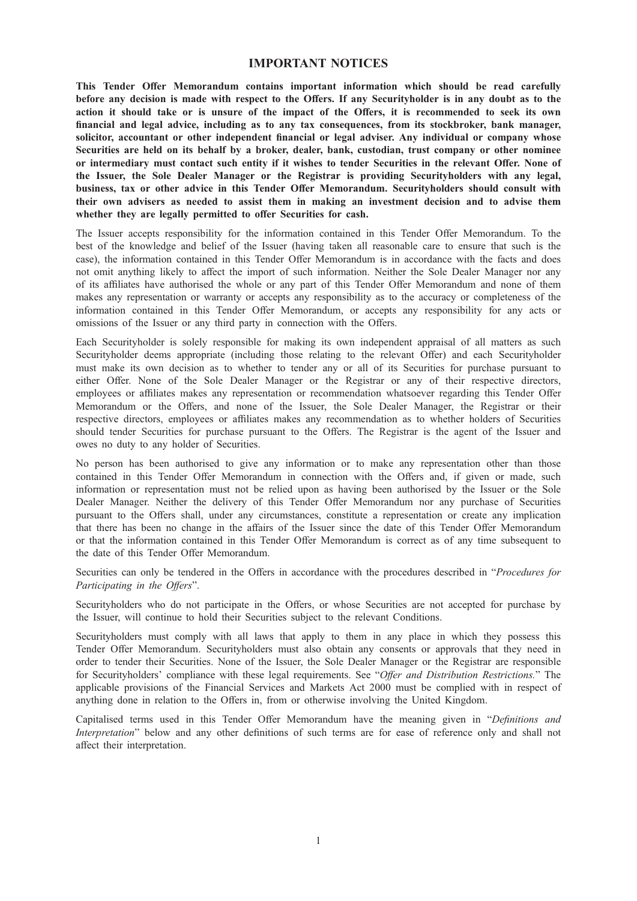### IMPORTANT NOTICES

This Tender Offer Memorandum contains important information which should be read carefully before any decision is made with respect to the Offers. If any Securityholder is in any doubt as to the action it should take or is unsure of the impact of the Offers, it is recommended to seek its own financial and legal advice, including as to any tax consequences, from its stockbroker, bank manager, solicitor, accountant or other independent financial or legal adviser. Any individual or company whose Securities are held on its behalf by a broker, dealer, bank, custodian, trust company or other nominee or intermediary must contact such entity if it wishes to tender Securities in the relevant Offer. None of the Issuer, the Sole Dealer Manager or the Registrar is providing Securityholders with any legal, business, tax or other advice in this Tender Offer Memorandum. Securityholders should consult with their own advisers as needed to assist them in making an investment decision and to advise them whether they are legally permitted to offer Securities for cash.

The Issuer accepts responsibility for the information contained in this Tender Offer Memorandum. To the best of the knowledge and belief of the Issuer (having taken all reasonable care to ensure that such is the case), the information contained in this Tender Offer Memorandum is in accordance with the facts and does not omit anything likely to affect the import of such information. Neither the Sole Dealer Manager nor any of its affiliates have authorised the whole or any part of this Tender Offer Memorandum and none of them makes any representation or warranty or accepts any responsibility as to the accuracy or completeness of the information contained in this Tender Offer Memorandum, or accepts any responsibility for any acts or omissions of the Issuer or any third party in connection with the Offers.

Each Securityholder is solely responsible for making its own independent appraisal of all matters as such Securityholder deems appropriate (including those relating to the relevant Offer) and each Securityholder must make its own decision as to whether to tender any or all of its Securities for purchase pursuant to either Offer. None of the Sole Dealer Manager or the Registrar or any of their respective directors, employees or affiliates makes any representation or recommendation whatsoever regarding this Tender Offer Memorandum or the Offers, and none of the Issuer, the Sole Dealer Manager, the Registrar or their respective directors, employees or affiliates makes any recommendation as to whether holders of Securities should tender Securities for purchase pursuant to the Offers. The Registrar is the agent of the Issuer and owes no duty to any holder of Securities.

No person has been authorised to give any information or to make any representation other than those contained in this Tender Offer Memorandum in connection with the Offers and, if given or made, such information or representation must not be relied upon as having been authorised by the Issuer or the Sole Dealer Manager. Neither the delivery of this Tender Offer Memorandum nor any purchase of Securities pursuant to the Offers shall, under any circumstances, constitute a representation or create any implication that there has been no change in the affairs of the Issuer since the date of this Tender Offer Memorandum or that the information contained in this Tender Offer Memorandum is correct as of any time subsequent to the date of this Tender Offer Memorandum.

Securities can only be tendered in the Offers in accordance with the procedures described in "Procedures for Participating in the Offers".

Securityholders who do not participate in the Offers, or whose Securities are not accepted for purchase by the Issuer, will continue to hold their Securities subject to the relevant Conditions.

Securityholders must comply with all laws that apply to them in any place in which they possess this Tender Offer Memorandum. Securityholders must also obtain any consents or approvals that they need in order to tender their Securities. None of the Issuer, the Sole Dealer Manager or the Registrar are responsible for Securityholders' compliance with these legal requirements. See "Offer and Distribution Restrictions." The applicable provisions of the Financial Services and Markets Act 2000 must be complied with in respect of anything done in relation to the Offers in, from or otherwise involving the United Kingdom.

Capitalised terms used in this Tender Offer Memorandum have the meaning given in "Definitions and Interpretation" below and any other definitions of such terms are for ease of reference only and shall not affect their interpretation.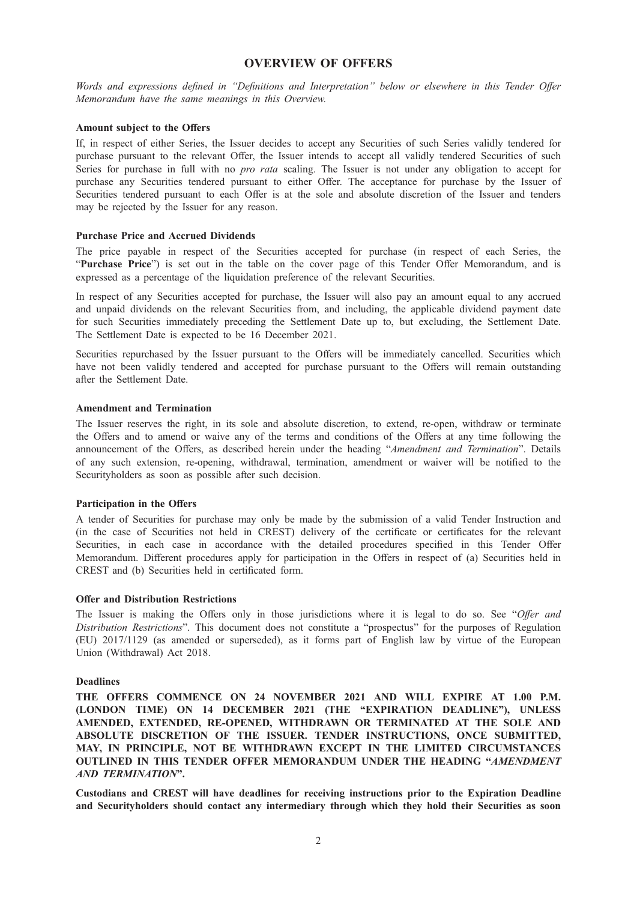### OVERVIEW OF OFFERS

Words and expressions defined in "Definitions and Interpretation" below or elsewhere in this Tender Offer Memorandum have the same meanings in this Overview.

### Amount subject to the Offers

If, in respect of either Series, the Issuer decides to accept any Securities of such Series validly tendered for purchase pursuant to the relevant Offer, the Issuer intends to accept all validly tendered Securities of such Series for purchase in full with no *pro rata* scaling. The Issuer is not under any obligation to accept for purchase any Securities tendered pursuant to either Offer. The acceptance for purchase by the Issuer of Securities tendered pursuant to each Offer is at the sole and absolute discretion of the Issuer and tenders may be rejected by the Issuer for any reason.

### Purchase Price and Accrued Dividends

The price payable in respect of the Securities accepted for purchase (in respect of each Series, the "Purchase Price") is set out in the table on the cover page of this Tender Offer Memorandum, and is expressed as a percentage of the liquidation preference of the relevant Securities.

In respect of any Securities accepted for purchase, the Issuer will also pay an amount equal to any accrued and unpaid dividends on the relevant Securities from, and including, the applicable dividend payment date for such Securities immediately preceding the Settlement Date up to, but excluding, the Settlement Date. The Settlement Date is expected to be 16 December 2021.

Securities repurchased by the Issuer pursuant to the Offers will be immediately cancelled. Securities which have not been validly tendered and accepted for purchase pursuant to the Offers will remain outstanding after the Settlement Date.

#### Amendment and Termination

The Issuer reserves the right, in its sole and absolute discretion, to extend, re-open, withdraw or terminate the Offers and to amend or waive any of the terms and conditions of the Offers at any time following the announcement of the Offers, as described herein under the heading "Amendment and Termination". Details of any such extension, re-opening, withdrawal, termination, amendment or waiver will be notified to the Securityholders as soon as possible after such decision.

#### Participation in the Offers

A tender of Securities for purchase may only be made by the submission of a valid Tender Instruction and (in the case of Securities not held in CREST) delivery of the certificate or certificates for the relevant Securities, in each case in accordance with the detailed procedures specified in this Tender Offer Memorandum. Different procedures apply for participation in the Offers in respect of (a) Securities held in CREST and (b) Securities held in certificated form.

#### Offer and Distribution Restrictions

The Issuer is making the Offers only in those jurisdictions where it is legal to do so. See "Offer and Distribution Restrictions". This document does not constitute a "prospectus" for the purposes of Regulation (EU) 2017/1129 (as amended or superseded), as it forms part of English law by virtue of the European Union (Withdrawal) Act 2018.

#### Deadlines

THE OFFERS COMMENCE ON 24 NOVEMBER 2021 AND WILL EXPIRE AT 1.00 P.M. (LONDON TIME) ON 14 DECEMBER 2021 (THE "EXPIRATION DEADLINE"), UNLESS AMENDED, EXTENDED, RE-OPENED, WITHDRAWN OR TERMINATED AT THE SOLE AND ABSOLUTE DISCRETION OF THE ISSUER. TENDER INSTRUCTIONS, ONCE SUBMITTED, MAY, IN PRINCIPLE, NOT BE WITHDRAWN EXCEPT IN THE LIMITED CIRCUMSTANCES OUTLINED IN THIS TENDER OFFER MEMORANDUM UNDER THE HEADING "AMENDMENT AND TERMINATION".

Custodians and CREST will have deadlines for receiving instructions prior to the Expiration Deadline and Securityholders should contact any intermediary through which they hold their Securities as soon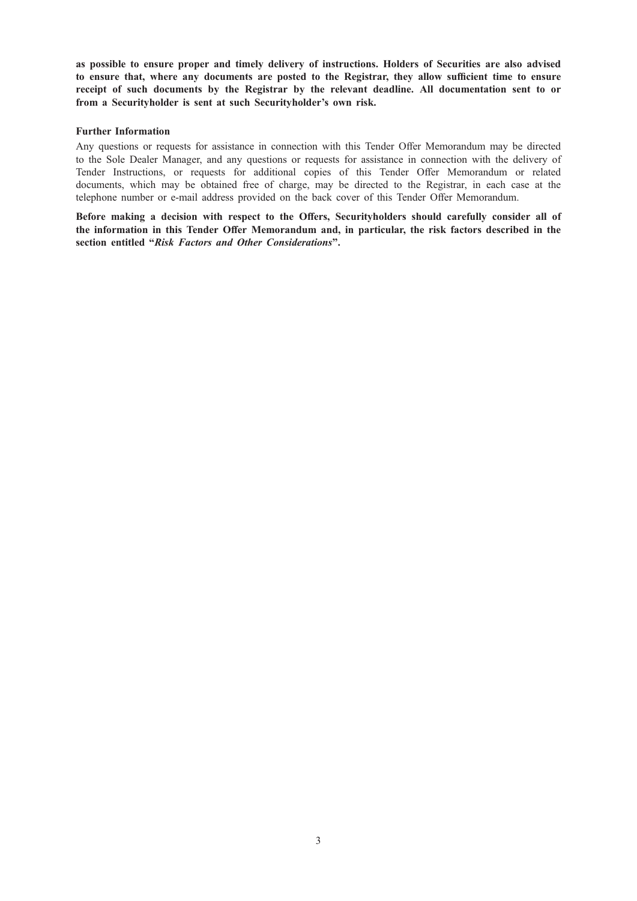as possible to ensure proper and timely delivery of instructions. Holders of Securities are also advised to ensure that, where any documents are posted to the Registrar, they allow sufficient time to ensure receipt of such documents by the Registrar by the relevant deadline. All documentation sent to or from a Securityholder is sent at such Securityholder's own risk.

### Further Information

Any questions or requests for assistance in connection with this Tender Offer Memorandum may be directed to the Sole Dealer Manager, and any questions or requests for assistance in connection with the delivery of Tender Instructions, or requests for additional copies of this Tender Offer Memorandum or related documents, which may be obtained free of charge, may be directed to the Registrar, in each case at the telephone number or e-mail address provided on the back cover of this Tender Offer Memorandum.

Before making a decision with respect to the Offers, Securityholders should carefully consider all of the information in this Tender Offer Memorandum and, in particular, the risk factors described in the section entitled "Risk Factors and Other Considerations".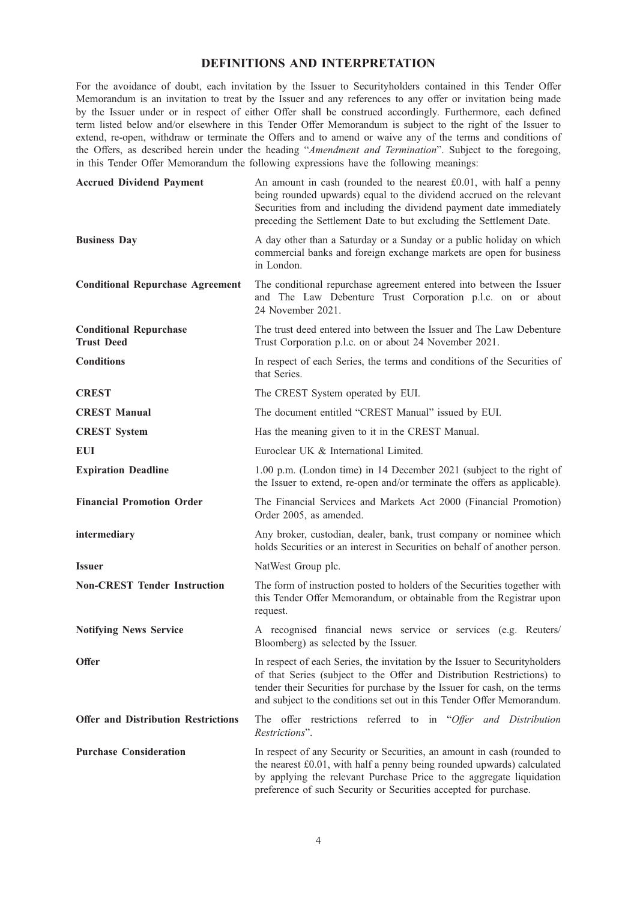### DEFINITIONS AND INTERPRETATION

For the avoidance of doubt, each invitation by the Issuer to Securityholders contained in this Tender Offer Memorandum is an invitation to treat by the Issuer and any references to any offer or invitation being made by the Issuer under or in respect of either Offer shall be construed accordingly. Furthermore, each defined term listed below and/or elsewhere in this Tender Offer Memorandum is subject to the right of the Issuer to extend, re-open, withdraw or terminate the Offers and to amend or waive any of the terms and conditions of the Offers, as described herein under the heading "Amendment and Termination". Subject to the foregoing, in this Tender Offer Memorandum the following expressions have the following meanings:

| <b>Accrued Dividend Payment</b>                    | An amount in cash (rounded to the nearest £0.01, with half a penny<br>being rounded upwards) equal to the dividend accrued on the relevant<br>Securities from and including the dividend payment date immediately<br>preceding the Settlement Date to but excluding the Settlement Date.                    |
|----------------------------------------------------|-------------------------------------------------------------------------------------------------------------------------------------------------------------------------------------------------------------------------------------------------------------------------------------------------------------|
| <b>Business Day</b>                                | A day other than a Saturday or a Sunday or a public holiday on which<br>commercial banks and foreign exchange markets are open for business<br>in London.                                                                                                                                                   |
| <b>Conditional Repurchase Agreement</b>            | The conditional repurchase agreement entered into between the Issuer<br>and The Law Debenture Trust Corporation p.l.c. on or about<br>24 November 2021.                                                                                                                                                     |
| <b>Conditional Repurchase</b><br><b>Trust Deed</b> | The trust deed entered into between the Issuer and The Law Debenture<br>Trust Corporation p.l.c. on or about 24 November 2021.                                                                                                                                                                              |
| <b>Conditions</b>                                  | In respect of each Series, the terms and conditions of the Securities of<br>that Series.                                                                                                                                                                                                                    |
| <b>CREST</b>                                       | The CREST System operated by EUI.                                                                                                                                                                                                                                                                           |
| <b>CREST Manual</b>                                | The document entitled "CREST Manual" issued by EUI.                                                                                                                                                                                                                                                         |
| <b>CREST System</b>                                | Has the meaning given to it in the CREST Manual.                                                                                                                                                                                                                                                            |
| <b>EUI</b>                                         | Euroclear UK & International Limited.                                                                                                                                                                                                                                                                       |
| <b>Expiration Deadline</b>                         | 1.00 p.m. (London time) in 14 December 2021 (subject to the right of<br>the Issuer to extend, re-open and/or terminate the offers as applicable).                                                                                                                                                           |
| <b>Financial Promotion Order</b>                   | The Financial Services and Markets Act 2000 (Financial Promotion)<br>Order 2005, as amended.                                                                                                                                                                                                                |
| intermediary                                       | Any broker, custodian, dealer, bank, trust company or nominee which<br>holds Securities or an interest in Securities on behalf of another person.                                                                                                                                                           |
| <b>Issuer</b>                                      | NatWest Group plc.                                                                                                                                                                                                                                                                                          |
| <b>Non-CREST Tender Instruction</b>                | The form of instruction posted to holders of the Securities together with<br>this Tender Offer Memorandum, or obtainable from the Registrar upon<br>request.                                                                                                                                                |
| <b>Notifying News Service</b>                      | A recognised financial news service or services (e.g. Reuters/<br>Bloomberg) as selected by the Issuer.                                                                                                                                                                                                     |
| <b>Offer</b>                                       | In respect of each Series, the invitation by the Issuer to Securityholders<br>of that Series (subject to the Offer and Distribution Restrictions) to<br>tender their Securities for purchase by the Issuer for cash, on the terms<br>and subject to the conditions set out in this Tender Offer Memorandum. |
| <b>Offer and Distribution Restrictions</b>         | The offer restrictions referred to in "Offer and Distribution<br>Restrictions".                                                                                                                                                                                                                             |
| <b>Purchase Consideration</b>                      | In respect of any Security or Securities, an amount in cash (rounded to<br>the nearest £0.01, with half a penny being rounded upwards) calculated<br>by applying the relevant Purchase Price to the aggregate liquidation<br>preference of such Security or Securities accepted for purchase.               |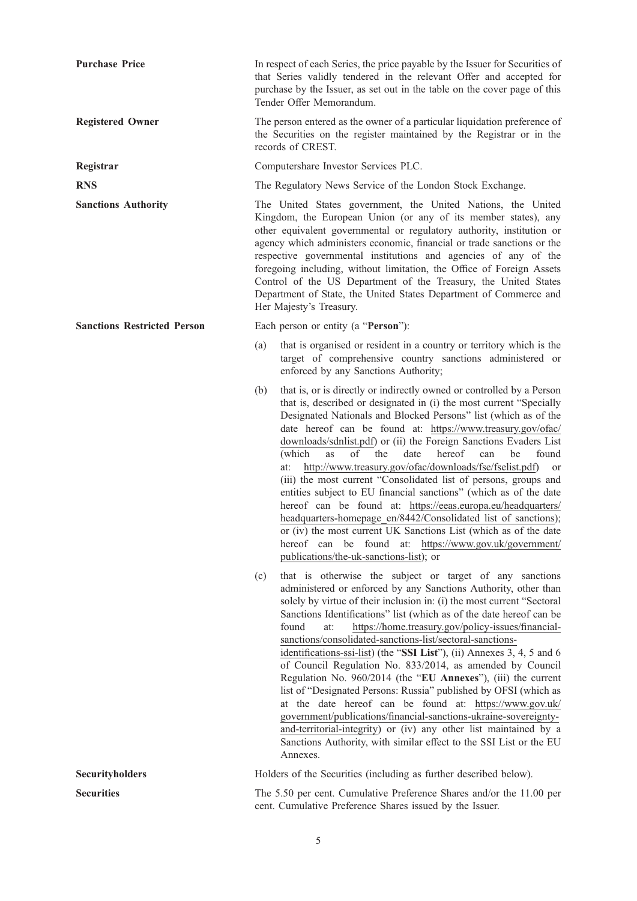| <b>Purchase Price</b>              | In respect of each Series, the price payable by the Issuer for Securities of<br>that Series validly tendered in the relevant Offer and accepted for<br>purchase by the Issuer, as set out in the table on the cover page of this<br>Tender Offer Memorandum.                                                                                                                                                                                                                                                                                                                                     |                                                                                                                                                                                                                                                                                                                                                                                                                                                                                                                                                                                                                                                                                                                                                                                                                                                                                                                                                                                   |
|------------------------------------|--------------------------------------------------------------------------------------------------------------------------------------------------------------------------------------------------------------------------------------------------------------------------------------------------------------------------------------------------------------------------------------------------------------------------------------------------------------------------------------------------------------------------------------------------------------------------------------------------|-----------------------------------------------------------------------------------------------------------------------------------------------------------------------------------------------------------------------------------------------------------------------------------------------------------------------------------------------------------------------------------------------------------------------------------------------------------------------------------------------------------------------------------------------------------------------------------------------------------------------------------------------------------------------------------------------------------------------------------------------------------------------------------------------------------------------------------------------------------------------------------------------------------------------------------------------------------------------------------|
| <b>Registered Owner</b>            | The person entered as the owner of a particular liquidation preference of<br>the Securities on the register maintained by the Registrar or in the<br>records of CREST.                                                                                                                                                                                                                                                                                                                                                                                                                           |                                                                                                                                                                                                                                                                                                                                                                                                                                                                                                                                                                                                                                                                                                                                                                                                                                                                                                                                                                                   |
| Registrar                          |                                                                                                                                                                                                                                                                                                                                                                                                                                                                                                                                                                                                  | Computershare Investor Services PLC.                                                                                                                                                                                                                                                                                                                                                                                                                                                                                                                                                                                                                                                                                                                                                                                                                                                                                                                                              |
| <b>RNS</b>                         |                                                                                                                                                                                                                                                                                                                                                                                                                                                                                                                                                                                                  | The Regulatory News Service of the London Stock Exchange.                                                                                                                                                                                                                                                                                                                                                                                                                                                                                                                                                                                                                                                                                                                                                                                                                                                                                                                         |
| <b>Sanctions Authority</b>         | The United States government, the United Nations, the United<br>Kingdom, the European Union (or any of its member states), any<br>other equivalent governmental or regulatory authority, institution or<br>agency which administers economic, financial or trade sanctions or the<br>respective governmental institutions and agencies of any of the<br>foregoing including, without limitation, the Office of Foreign Assets<br>Control of the US Department of the Treasury, the United States<br>Department of State, the United States Department of Commerce and<br>Her Majesty's Treasury. |                                                                                                                                                                                                                                                                                                                                                                                                                                                                                                                                                                                                                                                                                                                                                                                                                                                                                                                                                                                   |
| <b>Sanctions Restricted Person</b> |                                                                                                                                                                                                                                                                                                                                                                                                                                                                                                                                                                                                  | Each person or entity (a "Person"):                                                                                                                                                                                                                                                                                                                                                                                                                                                                                                                                                                                                                                                                                                                                                                                                                                                                                                                                               |
|                                    | (a)                                                                                                                                                                                                                                                                                                                                                                                                                                                                                                                                                                                              | that is organised or resident in a country or territory which is the<br>target of comprehensive country sanctions administered or<br>enforced by any Sanctions Authority;                                                                                                                                                                                                                                                                                                                                                                                                                                                                                                                                                                                                                                                                                                                                                                                                         |
|                                    | (b)                                                                                                                                                                                                                                                                                                                                                                                                                                                                                                                                                                                              | that is, or is directly or indirectly owned or controlled by a Person<br>that is, described or designated in (i) the most current "Specially<br>Designated Nationals and Blocked Persons" list (which as of the<br>date hereof can be found at: https://www.treasury.gov/ofac/<br>downloads/sdnlist.pdf) or (ii) the Foreign Sanctions Evaders List<br>(which<br>of<br>the<br>date<br>hereof<br>be<br>found<br><b>as</b><br>can<br>http://www.treasury.gov/ofac/downloads/fse/fselist.pdf)<br>at:<br>or<br>(iii) the most current "Consolidated list of persons, groups and<br>entities subject to EU financial sanctions" (which as of the date<br>hereof can be found at: https://eeas.europa.eu/headquarters/<br>headquarters-homepage en/8442/Consolidated list of sanctions);<br>or (iv) the most current UK Sanctions List (which as of the date<br>hereof can be found at: https://www.gov.uk/government/<br>publications/the-uk-sanctions-list); or                       |
|                                    | (c)                                                                                                                                                                                                                                                                                                                                                                                                                                                                                                                                                                                              | that is otherwise the subject or target of any sanctions<br>administered or enforced by any Sanctions Authority, other than<br>solely by virtue of their inclusion in: (i) the most current "Sectoral<br>Sanctions Identifications" list (which as of the date hereof can be<br>found<br>https://home.treasury.gov/policy-issues/financial-<br>at:<br>sanctions/consolidated-sanctions-list/sectoral-sanctions-<br>identifications-ssi-list) (the "SSI List"), (ii) Annexes 3, 4, 5 and 6<br>of Council Regulation No. 833/2014, as amended by Council<br>Regulation No. 960/2014 (the "EU Annexes"), (iii) the current<br>list of "Designated Persons: Russia" published by OFSI (which as<br>at the date hereof can be found at: https://www.gov.uk/<br>government/publications/financial-sanctions-ukraine-sovereignty-<br>and-territorial-integrity) or (iv) any other list maintained by a<br>Sanctions Authority, with similar effect to the SSI List or the EU<br>Annexes. |
| <b>Securityholders</b>             |                                                                                                                                                                                                                                                                                                                                                                                                                                                                                                                                                                                                  | Holders of the Securities (including as further described below).                                                                                                                                                                                                                                                                                                                                                                                                                                                                                                                                                                                                                                                                                                                                                                                                                                                                                                                 |
| <b>Securities</b>                  |                                                                                                                                                                                                                                                                                                                                                                                                                                                                                                                                                                                                  | The 5.50 per cent. Cumulative Preference Shares and/or the 11.00 per<br>cent. Cumulative Preference Shares issued by the Issuer.                                                                                                                                                                                                                                                                                                                                                                                                                                                                                                                                                                                                                                                                                                                                                                                                                                                  |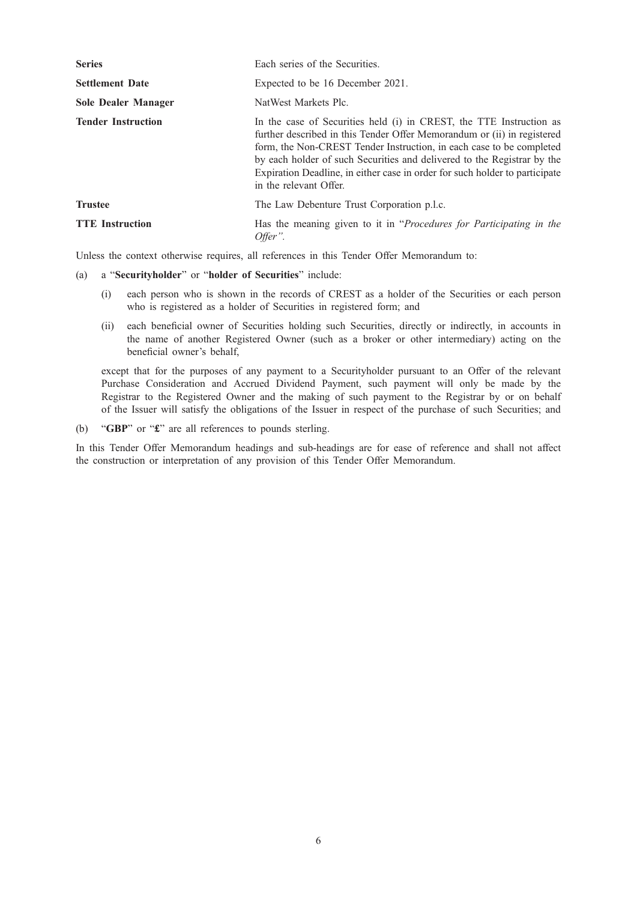| <b>Series</b>              | Each series of the Securities.                                                                                                                                                                                                                                                                                                                                                                             |
|----------------------------|------------------------------------------------------------------------------------------------------------------------------------------------------------------------------------------------------------------------------------------------------------------------------------------------------------------------------------------------------------------------------------------------------------|
| <b>Settlement Date</b>     | Expected to be 16 December 2021.                                                                                                                                                                                                                                                                                                                                                                           |
| <b>Sole Dealer Manager</b> | NatWest Markets Plc.                                                                                                                                                                                                                                                                                                                                                                                       |
| <b>Tender Instruction</b>  | In the case of Securities held (i) in CREST, the TTE Instruction as<br>further described in this Tender Offer Memorandum or (ii) in registered<br>form, the Non-CREST Tender Instruction, in each case to be completed<br>by each holder of such Securities and delivered to the Registrar by the<br>Expiration Deadline, in either case in order for such holder to participate<br>in the relevant Offer. |
| <b>Trustee</b>             | The Law Debenture Trust Corporation p.l.c.                                                                                                                                                                                                                                                                                                                                                                 |
| <b>TTE</b> Instruction     | Has the meaning given to it in "Procedures for Participating in the<br>Offer".                                                                                                                                                                                                                                                                                                                             |

Unless the context otherwise requires, all references in this Tender Offer Memorandum to:

### (a) a "Securityholder" or "holder of Securities" include:

- (i) each person who is shown in the records of CREST as a holder of the Securities or each person who is registered as a holder of Securities in registered form; and
- (ii) each beneficial owner of Securities holding such Securities, directly or indirectly, in accounts in the name of another Registered Owner (such as a broker or other intermediary) acting on the beneficial owner's behalf,

except that for the purposes of any payment to a Securityholder pursuant to an Offer of the relevant Purchase Consideration and Accrued Dividend Payment, such payment will only be made by the Registrar to the Registered Owner and the making of such payment to the Registrar by or on behalf of the Issuer will satisfy the obligations of the Issuer in respect of the purchase of such Securities; and

(b) "GBP" or "£" are all references to pounds sterling.

In this Tender Offer Memorandum headings and sub-headings are for ease of reference and shall not affect the construction or interpretation of any provision of this Tender Offer Memorandum.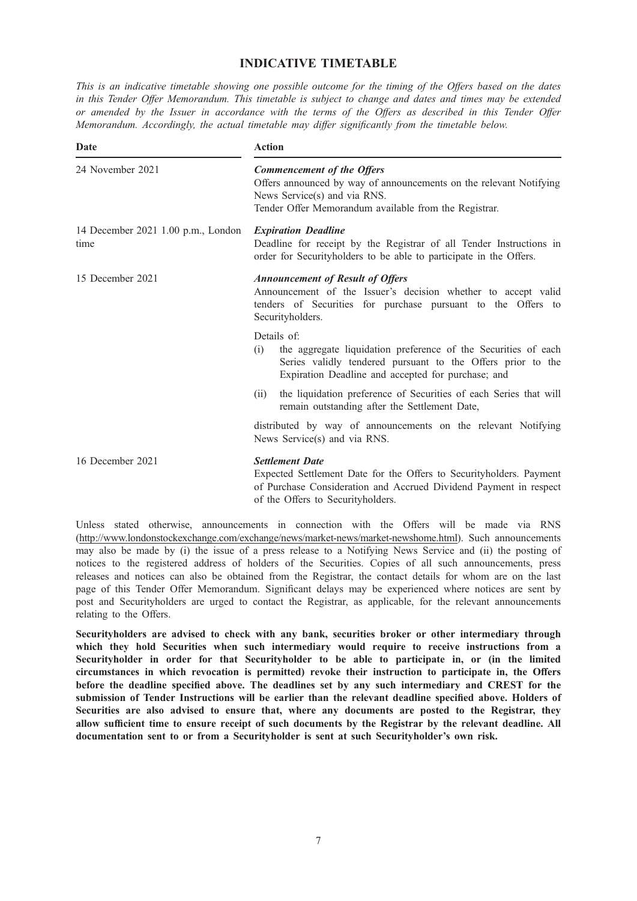# INDICATIVE TIMETABLE

This is an indicative timetable showing one possible outcome for the timing of the Offers based on the dates in this Tender Offer Memorandum. This timetable is subject to change and dates and times may be extended or amended by the Issuer in accordance with the terms of the Offers as described in this Tender Offer Memorandum. Accordingly, the actual timetable may differ significantly from the timetable below.

| Date                                       | <b>Action</b>                                                                                                                                                                                             |  |  |
|--------------------------------------------|-----------------------------------------------------------------------------------------------------------------------------------------------------------------------------------------------------------|--|--|
| 24 November 2021                           | <b>Commencement of the Offers</b><br>Offers announced by way of announcements on the relevant Notifying<br>News Service(s) and via RNS.<br>Tender Offer Memorandum available from the Registrar.          |  |  |
| 14 December 2021 1.00 p.m., London<br>time | <b>Expiration Deadline</b><br>Deadline for receipt by the Registrar of all Tender Instructions in<br>order for Securityholders to be able to participate in the Offers.                                   |  |  |
| 15 December 2021                           | <b>Announcement of Result of Offers</b><br>Announcement of the Issuer's decision whether to accept valid<br>tenders of Securities for purchase pursuant to the Offers to<br>Securityholders.              |  |  |
|                                            | Details of:<br>the aggregate liquidation preference of the Securities of each<br>(i)<br>Series validly tendered pursuant to the Offers prior to the<br>Expiration Deadline and accepted for purchase; and |  |  |
|                                            | the liquidation preference of Securities of each Series that will<br>(ii)<br>remain outstanding after the Settlement Date,                                                                                |  |  |
|                                            | distributed by way of announcements on the relevant Notifying<br>News Service(s) and via RNS.                                                                                                             |  |  |
| 16 December 2021                           | <b>Settlement Date</b><br>Expected Settlement Date for the Offers to Security holders. Payment<br>of Purchase Consideration and Accrued Dividend Payment in respect<br>of the Offers to Securityholders.  |  |  |

Unless stated otherwise, announcements in connection with the Offers will be made via RNS (http://www.londonstockexchange.com/exchange/news/market-news/market-newshome.html). Such announcements may also be made by (i) the issue of a press release to a Notifying News Service and (ii) the posting of notices to the registered address of holders of the Securities. Copies of all such announcements, press releases and notices can also be obtained from the Registrar, the contact details for whom are on the last page of this Tender Offer Memorandum. Significant delays may be experienced where notices are sent by post and Securityholders are urged to contact the Registrar, as applicable, for the relevant announcements relating to the Offers.

Securityholders are advised to check with any bank, securities broker or other intermediary through which they hold Securities when such intermediary would require to receive instructions from a Securityholder in order for that Securityholder to be able to participate in, or (in the limited circumstances in which revocation is permitted) revoke their instruction to participate in, the Offers before the deadline specified above. The deadlines set by any such intermediary and CREST for the submission of Tender Instructions will be earlier than the relevant deadline specified above. Holders of Securities are also advised to ensure that, where any documents are posted to the Registrar, they allow sufficient time to ensure receipt of such documents by the Registrar by the relevant deadline. All documentation sent to or from a Securityholder is sent at such Securityholder's own risk.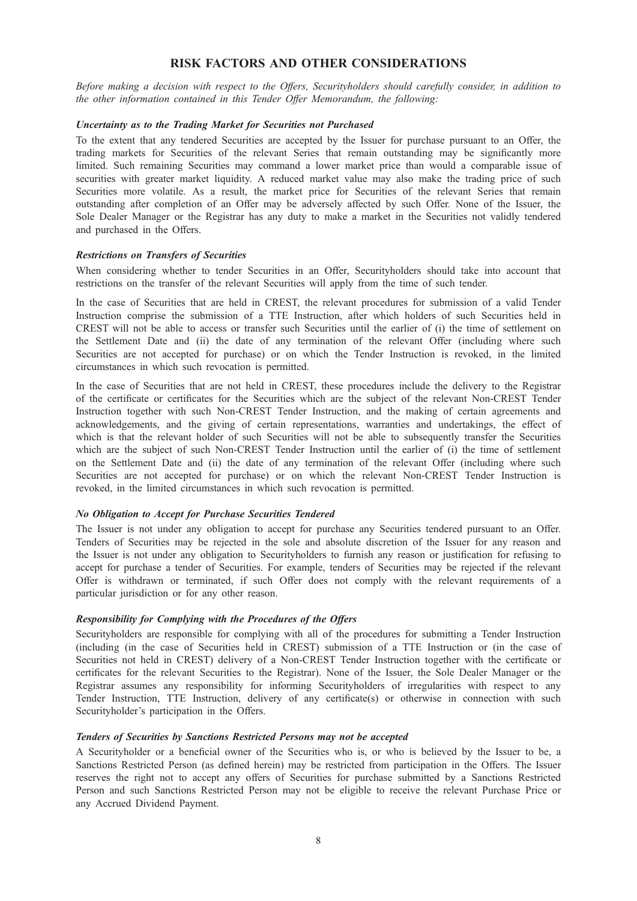### RISK FACTORS AND OTHER CONSIDERATIONS

Before making a decision with respect to the Offers, Securityholders should carefully consider, in addition to the other information contained in this Tender Offer Memorandum, the following:

#### Uncertainty as to the Trading Market for Securities not Purchased

To the extent that any tendered Securities are accepted by the Issuer for purchase pursuant to an Offer, the trading markets for Securities of the relevant Series that remain outstanding may be significantly more limited. Such remaining Securities may command a lower market price than would a comparable issue of securities with greater market liquidity. A reduced market value may also make the trading price of such Securities more volatile. As a result, the market price for Securities of the relevant Series that remain outstanding after completion of an Offer may be adversely affected by such Offer. None of the Issuer, the Sole Dealer Manager or the Registrar has any duty to make a market in the Securities not validly tendered and purchased in the Offers.

### Restrictions on Transfers of Securities

When considering whether to tender Securities in an Offer, Securityholders should take into account that restrictions on the transfer of the relevant Securities will apply from the time of such tender.

In the case of Securities that are held in CREST, the relevant procedures for submission of a valid Tender Instruction comprise the submission of a TTE Instruction, after which holders of such Securities held in CREST will not be able to access or transfer such Securities until the earlier of (i) the time of settlement on the Settlement Date and (ii) the date of any termination of the relevant Offer (including where such Securities are not accepted for purchase) or on which the Tender Instruction is revoked, in the limited circumstances in which such revocation is permitted.

In the case of Securities that are not held in CREST, these procedures include the delivery to the Registrar of the certificate or certificates for the Securities which are the subject of the relevant Non-CREST Tender Instruction together with such Non-CREST Tender Instruction, and the making of certain agreements and acknowledgements, and the giving of certain representations, warranties and undertakings, the effect of which is that the relevant holder of such Securities will not be able to subsequently transfer the Securities which are the subject of such Non-CREST Tender Instruction until the earlier of (i) the time of settlement on the Settlement Date and (ii) the date of any termination of the relevant Offer (including where such Securities are not accepted for purchase) or on which the relevant Non-CREST Tender Instruction is revoked, in the limited circumstances in which such revocation is permitted.

### No Obligation to Accept for Purchase Securities Tendered

The Issuer is not under any obligation to accept for purchase any Securities tendered pursuant to an Offer. Tenders of Securities may be rejected in the sole and absolute discretion of the Issuer for any reason and the Issuer is not under any obligation to Securityholders to furnish any reason or justification for refusing to accept for purchase a tender of Securities. For example, tenders of Securities may be rejected if the relevant Offer is withdrawn or terminated, if such Offer does not comply with the relevant requirements of a particular jurisdiction or for any other reason.

### Responsibility for Complying with the Procedures of the Offers

Securityholders are responsible for complying with all of the procedures for submitting a Tender Instruction (including (in the case of Securities held in CREST) submission of a TTE Instruction or (in the case of Securities not held in CREST) delivery of a Non-CREST Tender Instruction together with the certificate or certificates for the relevant Securities to the Registrar). None of the Issuer, the Sole Dealer Manager or the Registrar assumes any responsibility for informing Securityholders of irregularities with respect to any Tender Instruction, TTE Instruction, delivery of any certificate(s) or otherwise in connection with such Securityholder's participation in the Offers.

#### Tenders of Securities by Sanctions Restricted Persons may not be accepted

A Securityholder or a beneficial owner of the Securities who is, or who is believed by the Issuer to be, a Sanctions Restricted Person (as defined herein) may be restricted from participation in the Offers. The Issuer reserves the right not to accept any offers of Securities for purchase submitted by a Sanctions Restricted Person and such Sanctions Restricted Person may not be eligible to receive the relevant Purchase Price or any Accrued Dividend Payment.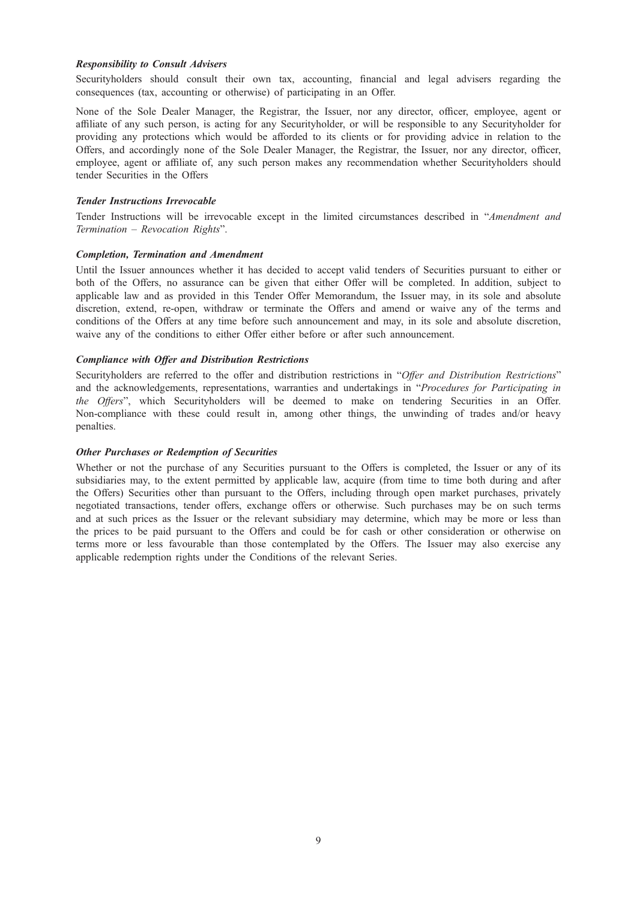### Responsibility to Consult Advisers

Securityholders should consult their own tax, accounting, financial and legal advisers regarding the consequences (tax, accounting or otherwise) of participating in an Offer.

None of the Sole Dealer Manager, the Registrar, the Issuer, nor any director, officer, employee, agent or affiliate of any such person, is acting for any Securityholder, or will be responsible to any Securityholder for providing any protections which would be afforded to its clients or for providing advice in relation to the Offers, and accordingly none of the Sole Dealer Manager, the Registrar, the Issuer, nor any director, officer, employee, agent or affiliate of, any such person makes any recommendation whether Securityholders should tender Securities in the Offers

#### Tender Instructions Irrevocable

Tender Instructions will be irrevocable except in the limited circumstances described in "Amendment and Termination – Revocation Rights".

#### Completion, Termination and Amendment

Until the Issuer announces whether it has decided to accept valid tenders of Securities pursuant to either or both of the Offers, no assurance can be given that either Offer will be completed. In addition, subject to applicable law and as provided in this Tender Offer Memorandum, the Issuer may, in its sole and absolute discretion, extend, re-open, withdraw or terminate the Offers and amend or waive any of the terms and conditions of the Offers at any time before such announcement and may, in its sole and absolute discretion, waive any of the conditions to either Offer either before or after such announcement.

#### Compliance with Offer and Distribution Restrictions

Securityholders are referred to the offer and distribution restrictions in "Offer and Distribution Restrictions" and the acknowledgements, representations, warranties and undertakings in "Procedures for Participating in the Offers", which Securityholders will be deemed to make on tendering Securities in an Offer. Non-compliance with these could result in, among other things, the unwinding of trades and/or heavy penalties.

#### Other Purchases or Redemption of Securities

Whether or not the purchase of any Securities pursuant to the Offers is completed, the Issuer or any of its subsidiaries may, to the extent permitted by applicable law, acquire (from time to time both during and after the Offers) Securities other than pursuant to the Offers, including through open market purchases, privately negotiated transactions, tender offers, exchange offers or otherwise. Such purchases may be on such terms and at such prices as the Issuer or the relevant subsidiary may determine, which may be more or less than the prices to be paid pursuant to the Offers and could be for cash or other consideration or otherwise on terms more or less favourable than those contemplated by the Offers. The Issuer may also exercise any applicable redemption rights under the Conditions of the relevant Series.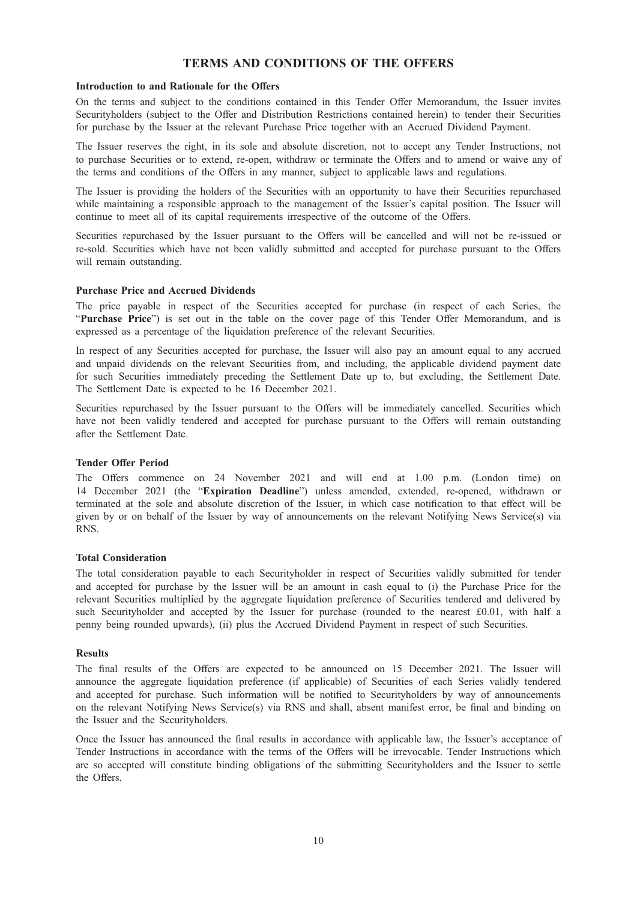### TERMS AND CONDITIONS OF THE OFFERS

#### Introduction to and Rationale for the Offers

On the terms and subject to the conditions contained in this Tender Offer Memorandum, the Issuer invites Securityholders (subject to the Offer and Distribution Restrictions contained herein) to tender their Securities for purchase by the Issuer at the relevant Purchase Price together with an Accrued Dividend Payment.

The Issuer reserves the right, in its sole and absolute discretion, not to accept any Tender Instructions, not to purchase Securities or to extend, re-open, withdraw or terminate the Offers and to amend or waive any of the terms and conditions of the Offers in any manner, subject to applicable laws and regulations.

The Issuer is providing the holders of the Securities with an opportunity to have their Securities repurchased while maintaining a responsible approach to the management of the Issuer's capital position. The Issuer will continue to meet all of its capital requirements irrespective of the outcome of the Offers.

Securities repurchased by the Issuer pursuant to the Offers will be cancelled and will not be re-issued or re-sold. Securities which have not been validly submitted and accepted for purchase pursuant to the Offers will remain outstanding.

#### Purchase Price and Accrued Dividends

The price payable in respect of the Securities accepted for purchase (in respect of each Series, the "Purchase Price") is set out in the table on the cover page of this Tender Offer Memorandum, and is expressed as a percentage of the liquidation preference of the relevant Securities.

In respect of any Securities accepted for purchase, the Issuer will also pay an amount equal to any accrued and unpaid dividends on the relevant Securities from, and including, the applicable dividend payment date for such Securities immediately preceding the Settlement Date up to, but excluding, the Settlement Date. The Settlement Date is expected to be 16 December 2021.

Securities repurchased by the Issuer pursuant to the Offers will be immediately cancelled. Securities which have not been validly tendered and accepted for purchase pursuant to the Offers will remain outstanding after the Settlement Date.

#### Tender Offer Period

The Offers commence on 24 November 2021 and will end at 1.00 p.m. (London time) on 14 December 2021 (the "Expiration Deadline") unless amended, extended, re-opened, withdrawn or terminated at the sole and absolute discretion of the Issuer, in which case notification to that effect will be given by or on behalf of the Issuer by way of announcements on the relevant Notifying News Service(s) via RNS.

#### Total Consideration

The total consideration payable to each Securityholder in respect of Securities validly submitted for tender and accepted for purchase by the Issuer will be an amount in cash equal to (i) the Purchase Price for the relevant Securities multiplied by the aggregate liquidation preference of Securities tendered and delivered by such Securityholder and accepted by the Issuer for purchase (rounded to the nearest £0.01, with half a penny being rounded upwards), (ii) plus the Accrued Dividend Payment in respect of such Securities.

#### **Results**

The final results of the Offers are expected to be announced on 15 December 2021. The Issuer will announce the aggregate liquidation preference (if applicable) of Securities of each Series validly tendered and accepted for purchase. Such information will be notified to Securityholders by way of announcements on the relevant Notifying News Service(s) via RNS and shall, absent manifest error, be final and binding on the Issuer and the Securityholders.

Once the Issuer has announced the final results in accordance with applicable law, the Issuer's acceptance of Tender Instructions in accordance with the terms of the Offers will be irrevocable. Tender Instructions which are so accepted will constitute binding obligations of the submitting Securityholders and the Issuer to settle the Offers.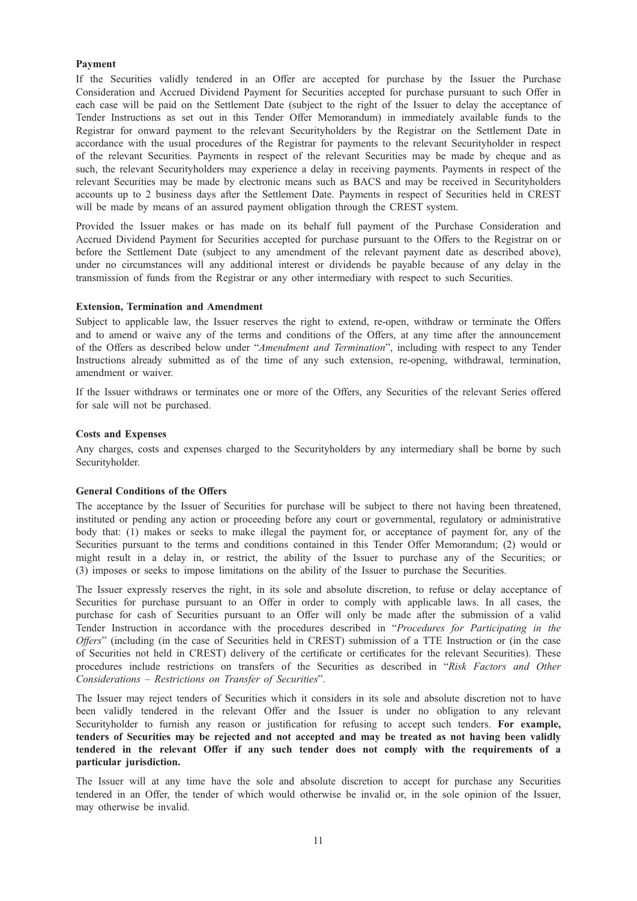### Payment

If the Securities validly tendered in an Offer are accepted for purchase by the Issuer the Purchase Consideration and Accrued Dividend Payment for Securities accepted for purchase pursuant to such Offer in each case will be paid on the Settlement Date (subject to the right of the Issuer to delay the acceptance of Tender Instructions as set out in this Tender Offer Memorandum) in immediately available funds to the Registrar for onward payment to the relevant Securityholders by the Registrar on the Settlement Date in accordance with the usual procedures of the Registrar for payments to the relevant Securityholder in respect of the relevant Securities. Payments in respect of the relevant Securities may be made by cheque and as such, the relevant Securityholders may experience a delay in receiving payments. Payments in respect of the relevant Securities may be made by electronic means such as BACS and may be received in Securityholders accounts up to 2 business days after the Settlement Date. Payments in respect of Securities held in CREST will be made by means of an assured payment obligation through the CREST system.

Provided the Issuer makes or has made on its behalf full payment of the Purchase Consideration and Accrued Dividend Payment for Securities accepted for purchase pursuant to the Offers to the Registrar on or before the Settlement Date (subject to any amendment of the relevant payment date as described above), under no circumstances will any additional interest or dividends be payable because of any delay in the transmission of funds from the Registrar or any other intermediary with respect to such Securities.

### Extension, Termination and Amendment

Subject to applicable law, the Issuer reserves the right to extend, re-open, withdraw or terminate the Offers and to amend or waive any of the terms and conditions of the Offers, at any time after the announcement of the Offers as described below under "Amendment and Termination", including with respect to any Tender Instructions already submitted as of the time of any such extension, re-opening, withdrawal, termination, amendment or waiver.

If the Issuer withdraws or terminates one or more of the Offers, any Securities of the relevant Series offered for sale will not be purchased.

### Costs and Expenses

Any charges, costs and expenses charged to the Securityholders by any intermediary shall be borne by such Securityholder.

#### General Conditions of the Offers

The acceptance by the Issuer of Securities for purchase will be subject to there not having been threatened, instituted or pending any action or proceeding before any court or governmental, regulatory or administrative body that: (1) makes or seeks to make illegal the payment for, or acceptance of payment for, any of the Securities pursuant to the terms and conditions contained in this Tender Offer Memorandum; (2) would or might result in a delay in, or restrict, the ability of the Issuer to purchase any of the Securities; or (3) imposes or seeks to impose limitations on the ability of the Issuer to purchase the Securities.

The Issuer expressly reserves the right, in its sole and absolute discretion, to refuse or delay acceptance of Securities for purchase pursuant to an Offer in order to comply with applicable laws. In all cases, the purchase for cash of Securities pursuant to an Offer will only be made after the submission of a valid Tender Instruction in accordance with the procedures described in "Procedures for Participating in the Offers" (including (in the case of Securities held in CREST) submission of a TTE Instruction or (in the case of Securities not held in CREST) delivery of the certificate or certificates for the relevant Securities). These procedures include restrictions on transfers of the Securities as described in "Risk Factors and Other Considerations – Restrictions on Transfer of Securities".

The Issuer may reject tenders of Securities which it considers in its sole and absolute discretion not to have been validly tendered in the relevant Offer and the Issuer is under no obligation to any relevant Securityholder to furnish any reason or justification for refusing to accept such tenders. For example, tenders of Securities may be rejected and not accepted and may be treated as not having been validly tendered in the relevant Offer if any such tender does not comply with the requirements of a particular jurisdiction.

The Issuer will at any time have the sole and absolute discretion to accept for purchase any Securities tendered in an Offer, the tender of which would otherwise be invalid or, in the sole opinion of the Issuer, may otherwise be invalid.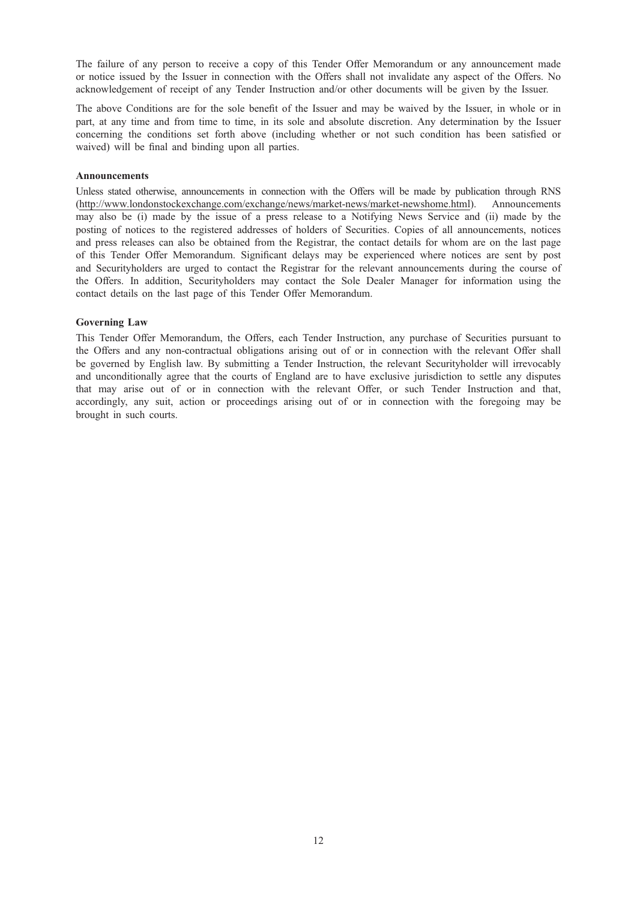The failure of any person to receive a copy of this Tender Offer Memorandum or any announcement made or notice issued by the Issuer in connection with the Offers shall not invalidate any aspect of the Offers. No acknowledgement of receipt of any Tender Instruction and/or other documents will be given by the Issuer.

The above Conditions are for the sole benefit of the Issuer and may be waived by the Issuer, in whole or in part, at any time and from time to time, in its sole and absolute discretion. Any determination by the Issuer concerning the conditions set forth above (including whether or not such condition has been satisfied or waived) will be final and binding upon all parties.

#### Announcements

Unless stated otherwise, announcements in connection with the Offers will be made by publication through RNS (http://www.londonstockexchange.com/exchange/news/market-news/market-newshome.html). Announcements may also be (i) made by the issue of a press release to a Notifying News Service and (ii) made by the posting of notices to the registered addresses of holders of Securities. Copies of all announcements, notices and press releases can also be obtained from the Registrar, the contact details for whom are on the last page of this Tender Offer Memorandum. Significant delays may be experienced where notices are sent by post and Securityholders are urged to contact the Registrar for the relevant announcements during the course of the Offers. In addition, Securityholders may contact the Sole Dealer Manager for information using the contact details on the last page of this Tender Offer Memorandum.

### Governing Law

This Tender Offer Memorandum, the Offers, each Tender Instruction, any purchase of Securities pursuant to the Offers and any non-contractual obligations arising out of or in connection with the relevant Offer shall be governed by English law. By submitting a Tender Instruction, the relevant Securityholder will irrevocably and unconditionally agree that the courts of England are to have exclusive jurisdiction to settle any disputes that may arise out of or in connection with the relevant Offer, or such Tender Instruction and that, accordingly, any suit, action or proceedings arising out of or in connection with the foregoing may be brought in such courts.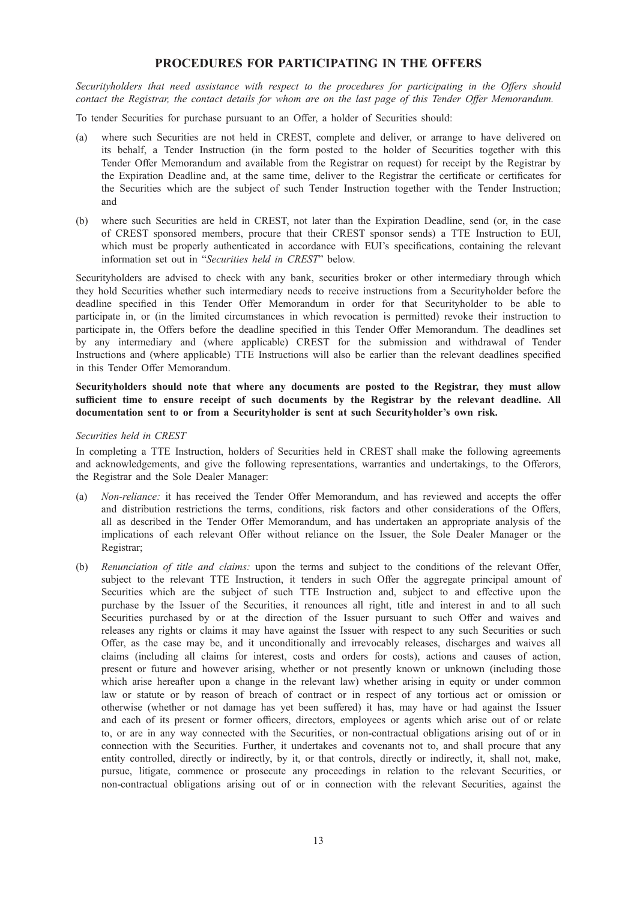## PROCEDURES FOR PARTICIPATING IN THE OFFERS

Securityholders that need assistance with respect to the procedures for participating in the Offers should contact the Registrar, the contact details for whom are on the last page of this Tender Offer Memorandum.

To tender Securities for purchase pursuant to an Offer, a holder of Securities should:

- (a) where such Securities are not held in CREST, complete and deliver, or arrange to have delivered on its behalf, a Tender Instruction (in the form posted to the holder of Securities together with this Tender Offer Memorandum and available from the Registrar on request) for receipt by the Registrar by the Expiration Deadline and, at the same time, deliver to the Registrar the certificate or certificates for the Securities which are the subject of such Tender Instruction together with the Tender Instruction; and
- (b) where such Securities are held in CREST, not later than the Expiration Deadline, send (or, in the case of CREST sponsored members, procure that their CREST sponsor sends) a TTE Instruction to EUI, which must be properly authenticated in accordance with EUI's specifications, containing the relevant information set out in "Securities held in CREST" below.

Securityholders are advised to check with any bank, securities broker or other intermediary through which they hold Securities whether such intermediary needs to receive instructions from a Securityholder before the deadline specified in this Tender Offer Memorandum in order for that Securityholder to be able to participate in, or (in the limited circumstances in which revocation is permitted) revoke their instruction to participate in, the Offers before the deadline specified in this Tender Offer Memorandum. The deadlines set by any intermediary and (where applicable) CREST for the submission and withdrawal of Tender Instructions and (where applicable) TTE Instructions will also be earlier than the relevant deadlines specified in this Tender Offer Memorandum.

Securityholders should note that where any documents are posted to the Registrar, they must allow sufficient time to ensure receipt of such documents by the Registrar by the relevant deadline. All documentation sent to or from a Securityholder is sent at such Securityholder's own risk.

#### Securities held in CREST

In completing a TTE Instruction, holders of Securities held in CREST shall make the following agreements and acknowledgements, and give the following representations, warranties and undertakings, to the Offerors, the Registrar and the Sole Dealer Manager:

- (a) Non-reliance: it has received the Tender Offer Memorandum, and has reviewed and accepts the offer and distribution restrictions the terms, conditions, risk factors and other considerations of the Offers, all as described in the Tender Offer Memorandum, and has undertaken an appropriate analysis of the implications of each relevant Offer without reliance on the Issuer, the Sole Dealer Manager or the Registrar;
- (b) Renunciation of title and claims: upon the terms and subject to the conditions of the relevant Offer, subject to the relevant TTE Instruction, it tenders in such Offer the aggregate principal amount of Securities which are the subject of such TTE Instruction and, subject to and effective upon the purchase by the Issuer of the Securities, it renounces all right, title and interest in and to all such Securities purchased by or at the direction of the Issuer pursuant to such Offer and waives and releases any rights or claims it may have against the Issuer with respect to any such Securities or such Offer, as the case may be, and it unconditionally and irrevocably releases, discharges and waives all claims (including all claims for interest, costs and orders for costs), actions and causes of action, present or future and however arising, whether or not presently known or unknown (including those which arise hereafter upon a change in the relevant law) whether arising in equity or under common law or statute or by reason of breach of contract or in respect of any tortious act or omission or otherwise (whether or not damage has yet been suffered) it has, may have or had against the Issuer and each of its present or former officers, directors, employees or agents which arise out of or relate to, or are in any way connected with the Securities, or non-contractual obligations arising out of or in connection with the Securities. Further, it undertakes and covenants not to, and shall procure that any entity controlled, directly or indirectly, by it, or that controls, directly or indirectly, it, shall not, make, pursue, litigate, commence or prosecute any proceedings in relation to the relevant Securities, or non-contractual obligations arising out of or in connection with the relevant Securities, against the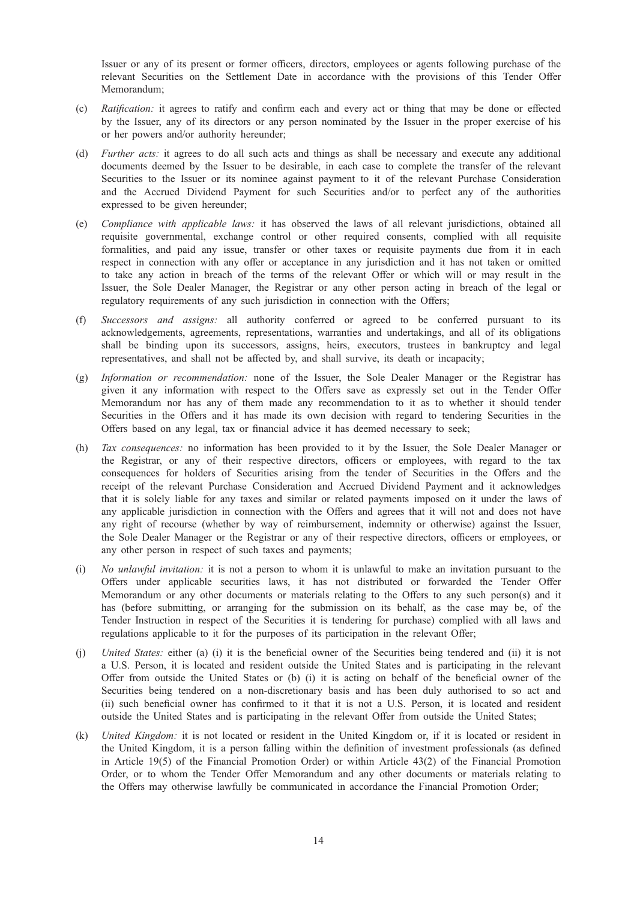Issuer or any of its present or former officers, directors, employees or agents following purchase of the relevant Securities on the Settlement Date in accordance with the provisions of this Tender Offer Memorandum;

- (c) Ratification: it agrees to ratify and confirm each and every act or thing that may be done or effected by the Issuer, any of its directors or any person nominated by the Issuer in the proper exercise of his or her powers and/or authority hereunder;
- (d) Further acts: it agrees to do all such acts and things as shall be necessary and execute any additional documents deemed by the Issuer to be desirable, in each case to complete the transfer of the relevant Securities to the Issuer or its nominee against payment to it of the relevant Purchase Consideration and the Accrued Dividend Payment for such Securities and/or to perfect any of the authorities expressed to be given hereunder;
- (e) Compliance with applicable laws: it has observed the laws of all relevant jurisdictions, obtained all requisite governmental, exchange control or other required consents, complied with all requisite formalities, and paid any issue, transfer or other taxes or requisite payments due from it in each respect in connection with any offer or acceptance in any jurisdiction and it has not taken or omitted to take any action in breach of the terms of the relevant Offer or which will or may result in the Issuer, the Sole Dealer Manager, the Registrar or any other person acting in breach of the legal or regulatory requirements of any such jurisdiction in connection with the Offers;
- (f) Successors and assigns: all authority conferred or agreed to be conferred pursuant to its acknowledgements, agreements, representations, warranties and undertakings, and all of its obligations shall be binding upon its successors, assigns, heirs, executors, trustees in bankruptcy and legal representatives, and shall not be affected by, and shall survive, its death or incapacity;
- (g) Information or recommendation: none of the Issuer, the Sole Dealer Manager or the Registrar has given it any information with respect to the Offers save as expressly set out in the Tender Offer Memorandum nor has any of them made any recommendation to it as to whether it should tender Securities in the Offers and it has made its own decision with regard to tendering Securities in the Offers based on any legal, tax or financial advice it has deemed necessary to seek;
- (h) Tax consequences: no information has been provided to it by the Issuer, the Sole Dealer Manager or the Registrar, or any of their respective directors, officers or employees, with regard to the tax consequences for holders of Securities arising from the tender of Securities in the Offers and the receipt of the relevant Purchase Consideration and Accrued Dividend Payment and it acknowledges that it is solely liable for any taxes and similar or related payments imposed on it under the laws of any applicable jurisdiction in connection with the Offers and agrees that it will not and does not have any right of recourse (whether by way of reimbursement, indemnity or otherwise) against the Issuer, the Sole Dealer Manager or the Registrar or any of their respective directors, officers or employees, or any other person in respect of such taxes and payments;
- (i) No unlawful invitation: it is not a person to whom it is unlawful to make an invitation pursuant to the Offers under applicable securities laws, it has not distributed or forwarded the Tender Offer Memorandum or any other documents or materials relating to the Offers to any such person(s) and it has (before submitting, or arranging for the submission on its behalf, as the case may be, of the Tender Instruction in respect of the Securities it is tendering for purchase) complied with all laws and regulations applicable to it for the purposes of its participation in the relevant Offer;
- (j) United States: either (a) (i) it is the beneficial owner of the Securities being tendered and (ii) it is not a U.S. Person, it is located and resident outside the United States and is participating in the relevant Offer from outside the United States or (b) (i) it is acting on behalf of the beneficial owner of the Securities being tendered on a non-discretionary basis and has been duly authorised to so act and (ii) such beneficial owner has confirmed to it that it is not a U.S. Person, it is located and resident outside the United States and is participating in the relevant Offer from outside the United States;
- (k) United Kingdom: it is not located or resident in the United Kingdom or, if it is located or resident in the United Kingdom, it is a person falling within the definition of investment professionals (as defined in Article 19(5) of the Financial Promotion Order) or within Article 43(2) of the Financial Promotion Order, or to whom the Tender Offer Memorandum and any other documents or materials relating to the Offers may otherwise lawfully be communicated in accordance the Financial Promotion Order;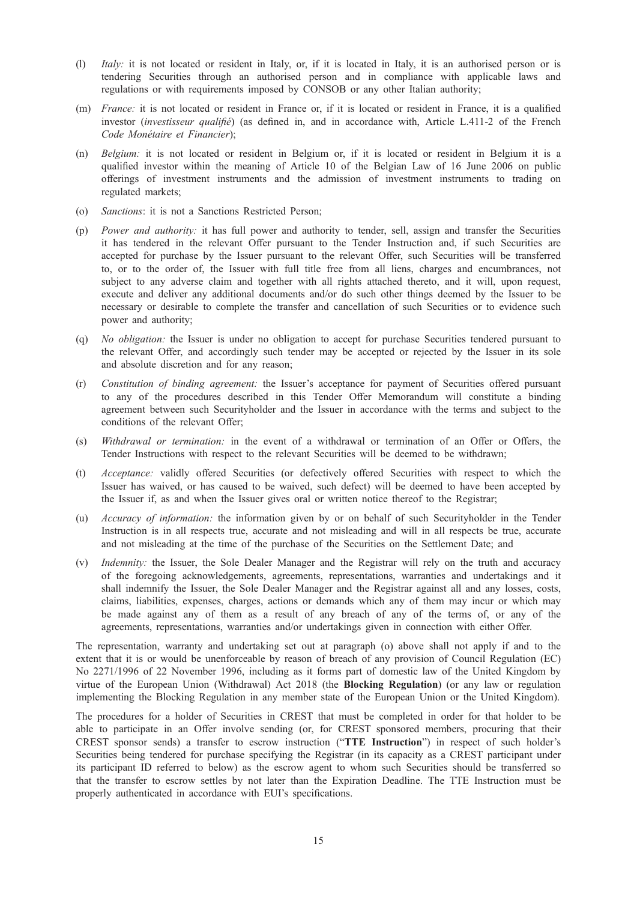- (l) Italy: it is not located or resident in Italy, or, if it is located in Italy, it is an authorised person or is tendering Securities through an authorised person and in compliance with applicable laws and regulations or with requirements imposed by CONSOB or any other Italian authority;
- (m) France: it is not located or resident in France or, if it is located or resident in France, it is a qualified investor *(investisseur qualifié)* (as defined in, and in accordance with, Article L.411-2 of the French Code Monétaire et Financier);
- (n) Belgium: it is not located or resident in Belgium or, if it is located or resident in Belgium it is a qualified investor within the meaning of Article 10 of the Belgian Law of 16 June 2006 on public offerings of investment instruments and the admission of investment instruments to trading on regulated markets;
- (o) Sanctions: it is not a Sanctions Restricted Person;
- (p) Power and authority: it has full power and authority to tender, sell, assign and transfer the Securities it has tendered in the relevant Offer pursuant to the Tender Instruction and, if such Securities are accepted for purchase by the Issuer pursuant to the relevant Offer, such Securities will be transferred to, or to the order of, the Issuer with full title free from all liens, charges and encumbrances, not subject to any adverse claim and together with all rights attached thereto, and it will, upon request, execute and deliver any additional documents and/or do such other things deemed by the Issuer to be necessary or desirable to complete the transfer and cancellation of such Securities or to evidence such power and authority;
- (q) No obligation: the Issuer is under no obligation to accept for purchase Securities tendered pursuant to the relevant Offer, and accordingly such tender may be accepted or rejected by the Issuer in its sole and absolute discretion and for any reason;
- (r) Constitution of binding agreement: the Issuer's acceptance for payment of Securities offered pursuant to any of the procedures described in this Tender Offer Memorandum will constitute a binding agreement between such Securityholder and the Issuer in accordance with the terms and subject to the conditions of the relevant Offer;
- (s) Withdrawal or termination: in the event of a withdrawal or termination of an Offer or Offers, the Tender Instructions with respect to the relevant Securities will be deemed to be withdrawn;
- (t) Acceptance: validly offered Securities (or defectively offered Securities with respect to which the Issuer has waived, or has caused to be waived, such defect) will be deemed to have been accepted by the Issuer if, as and when the Issuer gives oral or written notice thereof to the Registrar;
- (u) Accuracy of information: the information given by or on behalf of such Securityholder in the Tender Instruction is in all respects true, accurate and not misleading and will in all respects be true, accurate and not misleading at the time of the purchase of the Securities on the Settlement Date; and
- (v) Indemnity: the Issuer, the Sole Dealer Manager and the Registrar will rely on the truth and accuracy of the foregoing acknowledgements, agreements, representations, warranties and undertakings and it shall indemnify the Issuer, the Sole Dealer Manager and the Registrar against all and any losses, costs, claims, liabilities, expenses, charges, actions or demands which any of them may incur or which may be made against any of them as a result of any breach of any of the terms of, or any of the agreements, representations, warranties and/or undertakings given in connection with either Offer.

The representation, warranty and undertaking set out at paragraph (o) above shall not apply if and to the extent that it is or would be unenforceable by reason of breach of any provision of Council Regulation (EC) No 2271/1996 of 22 November 1996, including as it forms part of domestic law of the United Kingdom by virtue of the European Union (Withdrawal) Act 2018 (the Blocking Regulation) (or any law or regulation implementing the Blocking Regulation in any member state of the European Union or the United Kingdom).

The procedures for a holder of Securities in CREST that must be completed in order for that holder to be able to participate in an Offer involve sending (or, for CREST sponsored members, procuring that their CREST sponsor sends) a transfer to escrow instruction ("TTE Instruction") in respect of such holder's Securities being tendered for purchase specifying the Registrar (in its capacity as a CREST participant under its participant ID referred to below) as the escrow agent to whom such Securities should be transferred so that the transfer to escrow settles by not later than the Expiration Deadline. The TTE Instruction must be properly authenticated in accordance with EUI's specifications.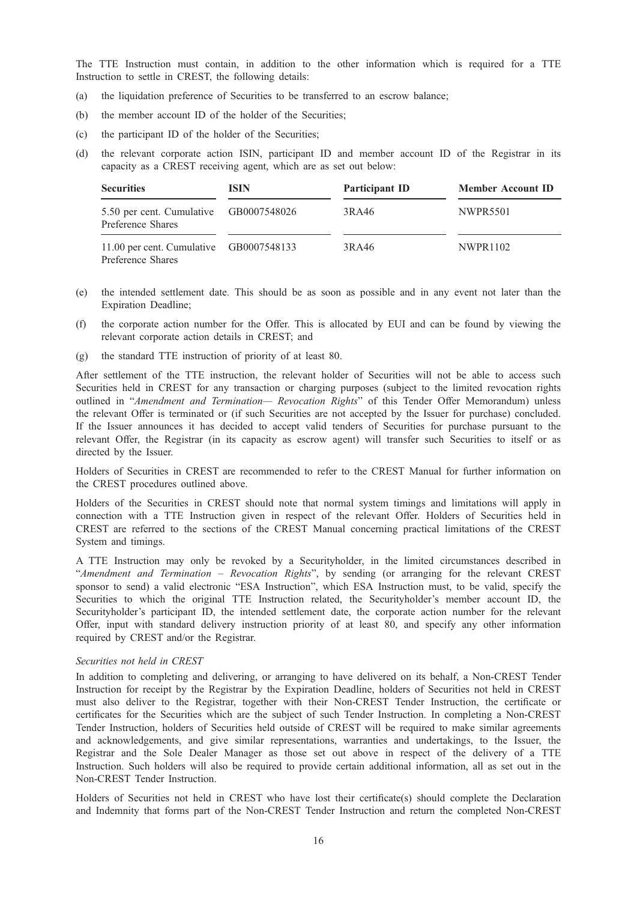The TTE Instruction must contain, in addition to the other information which is required for a TTE Instruction to settle in CREST, the following details:

- (a) the liquidation preference of Securities to be transferred to an escrow balance;
- (b) the member account ID of the holder of the Securities;
- (c) the participant ID of the holder of the Securities;
- (d) the relevant corporate action ISIN, participant ID and member account ID of the Registrar in its capacity as a CREST receiving agent, which are as set out below:

| <b>Securities</b>                                            | <b>ISIN</b> | Participant ID | <b>Member Account ID</b> |
|--------------------------------------------------------------|-------------|----------------|--------------------------|
| 5.50 per cent. Cumulative GB0007548026<br>Preference Shares  |             | 3RA46          | NWPR5501                 |
| 11.00 per cent. Cumulative GB0007548133<br>Preference Shares |             | 3RA46          | <b>NWPR1102</b>          |

- (e) the intended settlement date. This should be as soon as possible and in any event not later than the Expiration Deadline;
- (f) the corporate action number for the Offer. This is allocated by EUI and can be found by viewing the relevant corporate action details in CREST; and
- (g) the standard TTE instruction of priority of at least 80.

After settlement of the TTE instruction, the relevant holder of Securities will not be able to access such Securities held in CREST for any transaction or charging purposes (subject to the limited revocation rights outlined in "Amendment and Termination- Revocation Rights" of this Tender Offer Memorandum) unless the relevant Offer is terminated or (if such Securities are not accepted by the Issuer for purchase) concluded. If the Issuer announces it has decided to accept valid tenders of Securities for purchase pursuant to the relevant Offer, the Registrar (in its capacity as escrow agent) will transfer such Securities to itself or as directed by the Issuer.

Holders of Securities in CREST are recommended to refer to the CREST Manual for further information on the CREST procedures outlined above.

Holders of the Securities in CREST should note that normal system timings and limitations will apply in connection with a TTE Instruction given in respect of the relevant Offer. Holders of Securities held in CREST are referred to the sections of the CREST Manual concerning practical limitations of the CREST System and timings.

A TTE Instruction may only be revoked by a Securityholder, in the limited circumstances described in "Amendment and Termination – Revocation Rights", by sending (or arranging for the relevant CREST sponsor to send) a valid electronic "ESA Instruction", which ESA Instruction must, to be valid, specify the Securities to which the original TTE Instruction related, the Securityholder's member account ID, the Securityholder's participant ID, the intended settlement date, the corporate action number for the relevant Offer, input with standard delivery instruction priority of at least 80, and specify any other information required by CREST and/or the Registrar.

### Securities not held in CREST

In addition to completing and delivering, or arranging to have delivered on its behalf, a Non-CREST Tender Instruction for receipt by the Registrar by the Expiration Deadline, holders of Securities not held in CREST must also deliver to the Registrar, together with their Non-CREST Tender Instruction, the certificate or certificates for the Securities which are the subject of such Tender Instruction. In completing a Non-CREST Tender Instruction, holders of Securities held outside of CREST will be required to make similar agreements and acknowledgements, and give similar representations, warranties and undertakings, to the Issuer, the Registrar and the Sole Dealer Manager as those set out above in respect of the delivery of a TTE Instruction. Such holders will also be required to provide certain additional information, all as set out in the Non-CREST Tender Instruction.

Holders of Securities not held in CREST who have lost their certificate(s) should complete the Declaration and Indemnity that forms part of the Non-CREST Tender Instruction and return the completed Non-CREST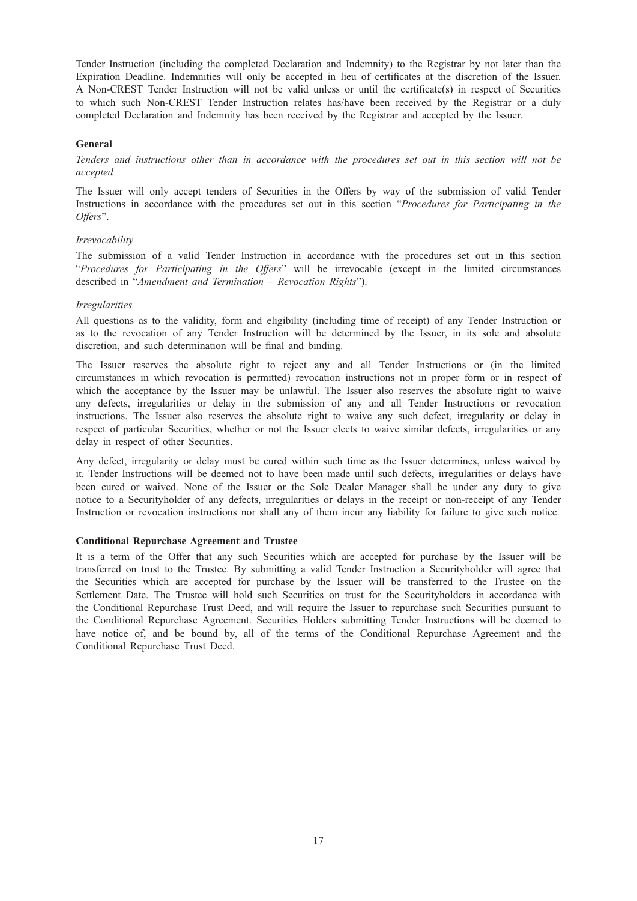Tender Instruction (including the completed Declaration and Indemnity) to the Registrar by not later than the Expiration Deadline. Indemnities will only be accepted in lieu of certificates at the discretion of the Issuer. A Non-CREST Tender Instruction will not be valid unless or until the certificate(s) in respect of Securities to which such Non-CREST Tender Instruction relates has/have been received by the Registrar or a duly completed Declaration and Indemnity has been received by the Registrar and accepted by the Issuer.

### General

Tenders and instructions other than in accordance with the procedures set out in this section will not be accepted

The Issuer will only accept tenders of Securities in the Offers by way of the submission of valid Tender Instructions in accordance with the procedures set out in this section "Procedures for Participating in the Offers".

#### Irrevocability

The submission of a valid Tender Instruction in accordance with the procedures set out in this section "Procedures for Participating in the Offers" will be irrevocable (except in the limited circumstances described in "Amendment and Termination – Revocation Rights").

### Irregularities

All questions as to the validity, form and eligibility (including time of receipt) of any Tender Instruction or as to the revocation of any Tender Instruction will be determined by the Issuer, in its sole and absolute discretion, and such determination will be final and binding.

The Issuer reserves the absolute right to reject any and all Tender Instructions or (in the limited circumstances in which revocation is permitted) revocation instructions not in proper form or in respect of which the acceptance by the Issuer may be unlawful. The Issuer also reserves the absolute right to waive any defects, irregularities or delay in the submission of any and all Tender Instructions or revocation instructions. The Issuer also reserves the absolute right to waive any such defect, irregularity or delay in respect of particular Securities, whether or not the Issuer elects to waive similar defects, irregularities or any delay in respect of other Securities.

Any defect, irregularity or delay must be cured within such time as the Issuer determines, unless waived by it. Tender Instructions will be deemed not to have been made until such defects, irregularities or delays have been cured or waived. None of the Issuer or the Sole Dealer Manager shall be under any duty to give notice to a Securityholder of any defects, irregularities or delays in the receipt or non-receipt of any Tender Instruction or revocation instructions nor shall any of them incur any liability for failure to give such notice.

#### Conditional Repurchase Agreement and Trustee

It is a term of the Offer that any such Securities which are accepted for purchase by the Issuer will be transferred on trust to the Trustee. By submitting a valid Tender Instruction a Securityholder will agree that the Securities which are accepted for purchase by the Issuer will be transferred to the Trustee on the Settlement Date. The Trustee will hold such Securities on trust for the Securityholders in accordance with the Conditional Repurchase Trust Deed, and will require the Issuer to repurchase such Securities pursuant to the Conditional Repurchase Agreement. Securities Holders submitting Tender Instructions will be deemed to have notice of, and be bound by, all of the terms of the Conditional Repurchase Agreement and the Conditional Repurchase Trust Deed.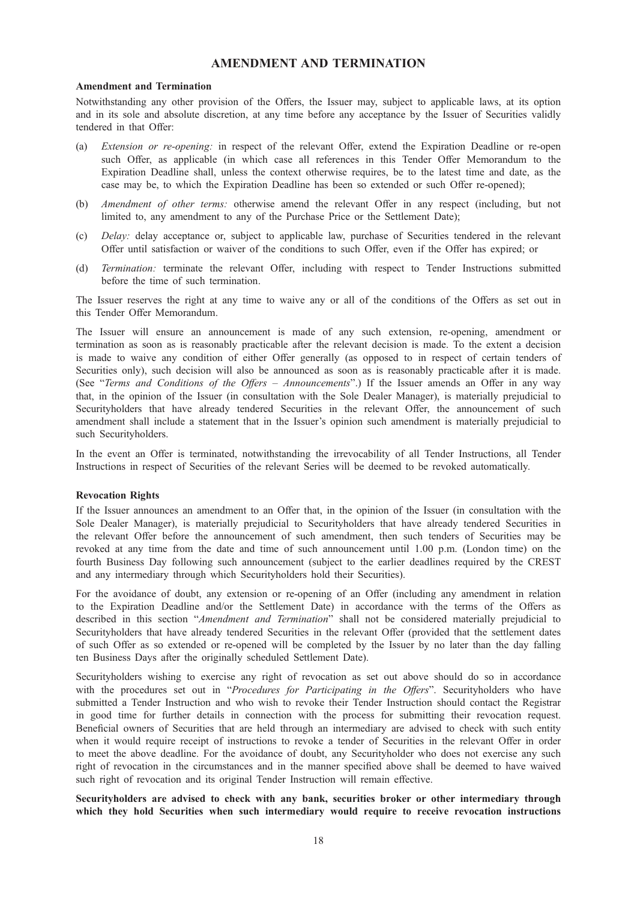### AMENDMENT AND TERMINATION

#### Amendment and Termination

Notwithstanding any other provision of the Offers, the Issuer may, subject to applicable laws, at its option and in its sole and absolute discretion, at any time before any acceptance by the Issuer of Securities validly tendered in that Offer:

- (a) Extension or re-opening: in respect of the relevant Offer, extend the Expiration Deadline or re-open such Offer, as applicable (in which case all references in this Tender Offer Memorandum to the Expiration Deadline shall, unless the context otherwise requires, be to the latest time and date, as the case may be, to which the Expiration Deadline has been so extended or such Offer re-opened);
- (b) Amendment of other terms: otherwise amend the relevant Offer in any respect (including, but not limited to, any amendment to any of the Purchase Price or the Settlement Date);
- (c) Delay: delay acceptance or, subject to applicable law, purchase of Securities tendered in the relevant Offer until satisfaction or waiver of the conditions to such Offer, even if the Offer has expired; or
- (d) Termination: terminate the relevant Offer, including with respect to Tender Instructions submitted before the time of such termination.

The Issuer reserves the right at any time to waive any or all of the conditions of the Offers as set out in this Tender Offer Memorandum.

The Issuer will ensure an announcement is made of any such extension, re-opening, amendment or termination as soon as is reasonably practicable after the relevant decision is made. To the extent a decision is made to waive any condition of either Offer generally (as opposed to in respect of certain tenders of Securities only), such decision will also be announced as soon as is reasonably practicable after it is made. (See "Terms and Conditions of the Offers – Announcements".) If the Issuer amends an Offer in any way that, in the opinion of the Issuer (in consultation with the Sole Dealer Manager), is materially prejudicial to Securityholders that have already tendered Securities in the relevant Offer, the announcement of such amendment shall include a statement that in the Issuer's opinion such amendment is materially prejudicial to such Securityholders.

In the event an Offer is terminated, notwithstanding the irrevocability of all Tender Instructions, all Tender Instructions in respect of Securities of the relevant Series will be deemed to be revoked automatically.

#### Revocation Rights

If the Issuer announces an amendment to an Offer that, in the opinion of the Issuer (in consultation with the Sole Dealer Manager), is materially prejudicial to Securityholders that have already tendered Securities in the relevant Offer before the announcement of such amendment, then such tenders of Securities may be revoked at any time from the date and time of such announcement until 1.00 p.m. (London time) on the fourth Business Day following such announcement (subject to the earlier deadlines required by the CREST and any intermediary through which Securityholders hold their Securities).

For the avoidance of doubt, any extension or re-opening of an Offer (including any amendment in relation to the Expiration Deadline and/or the Settlement Date) in accordance with the terms of the Offers as described in this section "Amendment and Termination" shall not be considered materially prejudicial to Securityholders that have already tendered Securities in the relevant Offer (provided that the settlement dates of such Offer as so extended or re-opened will be completed by the Issuer by no later than the day falling ten Business Days after the originally scheduled Settlement Date).

Securityholders wishing to exercise any right of revocation as set out above should do so in accordance with the procedures set out in "Procedures for Participating in the Offers". Securityholders who have submitted a Tender Instruction and who wish to revoke their Tender Instruction should contact the Registrar in good time for further details in connection with the process for submitting their revocation request. Beneficial owners of Securities that are held through an intermediary are advised to check with such entity when it would require receipt of instructions to revoke a tender of Securities in the relevant Offer in order to meet the above deadline. For the avoidance of doubt, any Securityholder who does not exercise any such right of revocation in the circumstances and in the manner specified above shall be deemed to have waived such right of revocation and its original Tender Instruction will remain effective.

Securityholders are advised to check with any bank, securities broker or other intermediary through which they hold Securities when such intermediary would require to receive revocation instructions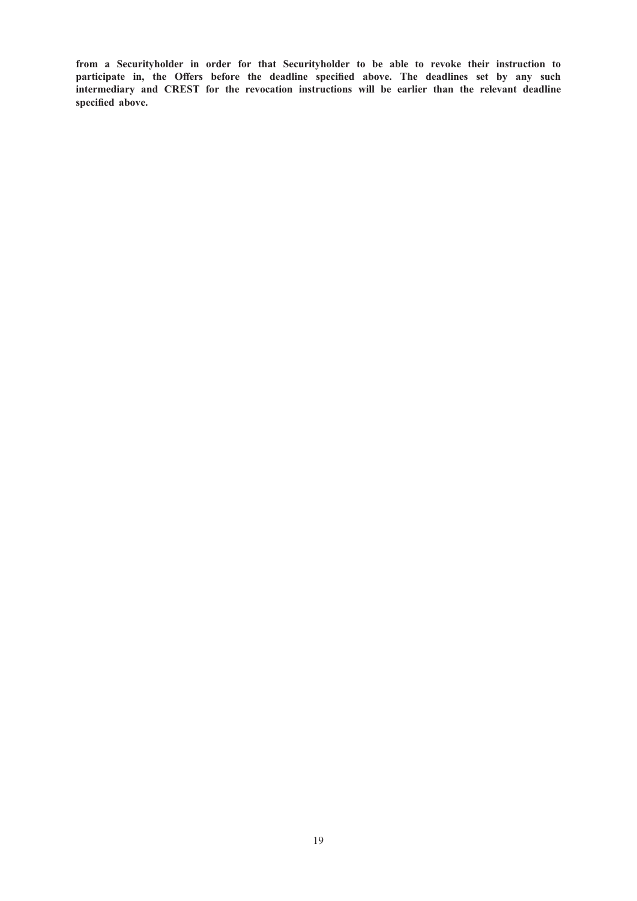from a Securityholder in order for that Securityholder to be able to revoke their instruction to participate in, the Offers before the deadline specified above. The deadlines set by any such intermediary and CREST for the revocation instructions will be earlier than the relevant deadline specified above.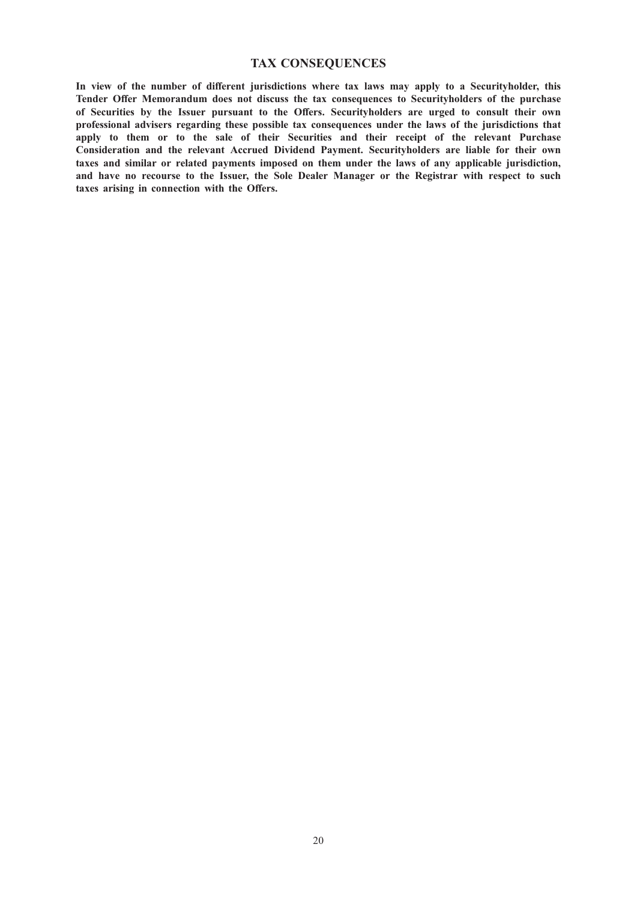### TAX CONSEQUENCES

In view of the number of different jurisdictions where tax laws may apply to a Securityholder, this Tender Offer Memorandum does not discuss the tax consequences to Securityholders of the purchase of Securities by the Issuer pursuant to the Offers. Securityholders are urged to consult their own professional advisers regarding these possible tax consequences under the laws of the jurisdictions that apply to them or to the sale of their Securities and their receipt of the relevant Purchase Consideration and the relevant Accrued Dividend Payment. Securityholders are liable for their own taxes and similar or related payments imposed on them under the laws of any applicable jurisdiction, and have no recourse to the Issuer, the Sole Dealer Manager or the Registrar with respect to such taxes arising in connection with the Offers.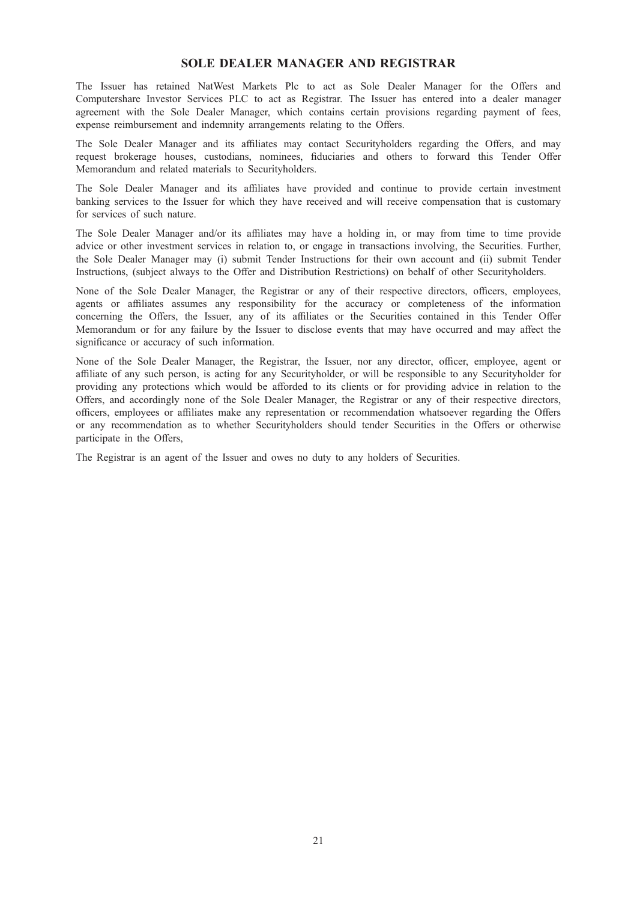### SOLE DEALER MANAGER AND REGISTRAR

The Issuer has retained NatWest Markets Plc to act as Sole Dealer Manager for the Offers and Computershare Investor Services PLC to act as Registrar. The Issuer has entered into a dealer manager agreement with the Sole Dealer Manager, which contains certain provisions regarding payment of fees, expense reimbursement and indemnity arrangements relating to the Offers.

The Sole Dealer Manager and its affiliates may contact Securityholders regarding the Offers, and may request brokerage houses, custodians, nominees, fiduciaries and others to forward this Tender Offer Memorandum and related materials to Securityholders.

The Sole Dealer Manager and its affiliates have provided and continue to provide certain investment banking services to the Issuer for which they have received and will receive compensation that is customary for services of such nature.

The Sole Dealer Manager and/or its affiliates may have a holding in, or may from time to time provide advice or other investment services in relation to, or engage in transactions involving, the Securities. Further, the Sole Dealer Manager may (i) submit Tender Instructions for their own account and (ii) submit Tender Instructions, (subject always to the Offer and Distribution Restrictions) on behalf of other Securityholders.

None of the Sole Dealer Manager, the Registrar or any of their respective directors, officers, employees, agents or affiliates assumes any responsibility for the accuracy or completeness of the information concerning the Offers, the Issuer, any of its affiliates or the Securities contained in this Tender Offer Memorandum or for any failure by the Issuer to disclose events that may have occurred and may affect the significance or accuracy of such information.

None of the Sole Dealer Manager, the Registrar, the Issuer, nor any director, officer, employee, agent or affiliate of any such person, is acting for any Securityholder, or will be responsible to any Securityholder for providing any protections which would be afforded to its clients or for providing advice in relation to the Offers, and accordingly none of the Sole Dealer Manager, the Registrar or any of their respective directors, officers, employees or affiliates make any representation or recommendation whatsoever regarding the Offers or any recommendation as to whether Securityholders should tender Securities in the Offers or otherwise participate in the Offers,

The Registrar is an agent of the Issuer and owes no duty to any holders of Securities.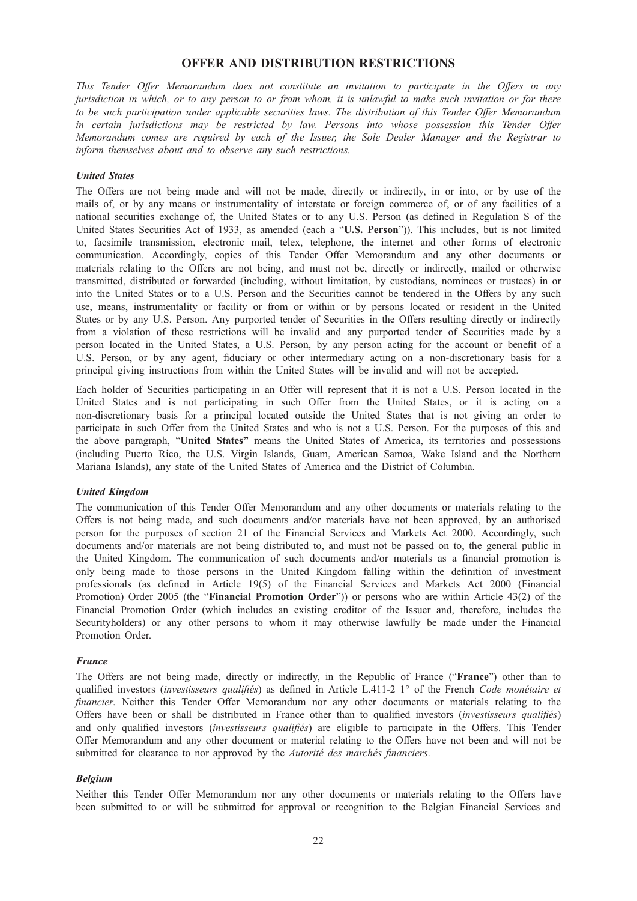### OFFER AND DISTRIBUTION RESTRICTIONS

This Tender Offer Memorandum does not constitute an invitation to participate in the Offers in any jurisdiction in which, or to any person to or from whom, it is unlawful to make such invitation or for there to be such participation under applicable securities laws. The distribution of this Tender Offer Memorandum in certain jurisdictions may be restricted by law. Persons into whose possession this Tender Offer Memorandum comes are required by each of the Issuer, the Sole Dealer Manager and the Registrar to inform themselves about and to observe any such restrictions.

#### United States

The Offers are not being made and will not be made, directly or indirectly, in or into, or by use of the mails of, or by any means or instrumentality of interstate or foreign commerce of, or of any facilities of a national securities exchange of, the United States or to any U.S. Person (as defined in Regulation S of the United States Securities Act of 1933, as amended (each a "U.S. Person")). This includes, but is not limited to, facsimile transmission, electronic mail, telex, telephone, the internet and other forms of electronic communication. Accordingly, copies of this Tender Offer Memorandum and any other documents or materials relating to the Offers are not being, and must not be, directly or indirectly, mailed or otherwise transmitted, distributed or forwarded (including, without limitation, by custodians, nominees or trustees) in or into the United States or to a U.S. Person and the Securities cannot be tendered in the Offers by any such use, means, instrumentality or facility or from or within or by persons located or resident in the United States or by any U.S. Person. Any purported tender of Securities in the Offers resulting directly or indirectly from a violation of these restrictions will be invalid and any purported tender of Securities made by a person located in the United States, a U.S. Person, by any person acting for the account or benefit of a U.S. Person, or by any agent, fiduciary or other intermediary acting on a non-discretionary basis for a principal giving instructions from within the United States will be invalid and will not be accepted.

Each holder of Securities participating in an Offer will represent that it is not a U.S. Person located in the United States and is not participating in such Offer from the United States, or it is acting on a non-discretionary basis for a principal located outside the United States that is not giving an order to participate in such Offer from the United States and who is not a U.S. Person. For the purposes of this and the above paragraph, "United States" means the United States of America, its territories and possessions (including Puerto Rico, the U.S. Virgin Islands, Guam, American Samoa, Wake Island and the Northern Mariana Islands), any state of the United States of America and the District of Columbia.

#### United Kingdom

The communication of this Tender Offer Memorandum and any other documents or materials relating to the Offers is not being made, and such documents and/or materials have not been approved, by an authorised person for the purposes of section 21 of the Financial Services and Markets Act 2000. Accordingly, such documents and/or materials are not being distributed to, and must not be passed on to, the general public in the United Kingdom. The communication of such documents and/or materials as a financial promotion is only being made to those persons in the United Kingdom falling within the definition of investment professionals (as defined in Article 19(5) of the Financial Services and Markets Act 2000 (Financial Promotion) Order 2005 (the "**Financial Promotion Order**")) or persons who are within Article 43(2) of the Financial Promotion Order (which includes an existing creditor of the Issuer and, therefore, includes the Securityholders) or any other persons to whom it may otherwise lawfully be made under the Financial Promotion Order.

#### France

The Offers are not being made, directly or indirectly, in the Republic of France ("France") other than to qualified investors (investisseurs qualifiés) as defined in Article L.411-2 1° of the French Code monétaire et financier. Neither this Tender Offer Memorandum nor any other documents or materials relating to the Offers have been or shall be distributed in France other than to qualified investors (investisseurs qualifiés) and only qualified investors *(investisseurs qualifiés)* are eligible to participate in the Offers. This Tender Offer Memorandum and any other document or material relating to the Offers have not been and will not be submitted for clearance to nor approved by the Autorité des marchés financiers.

#### Belgium

Neither this Tender Offer Memorandum nor any other documents or materials relating to the Offers have been submitted to or will be submitted for approval or recognition to the Belgian Financial Services and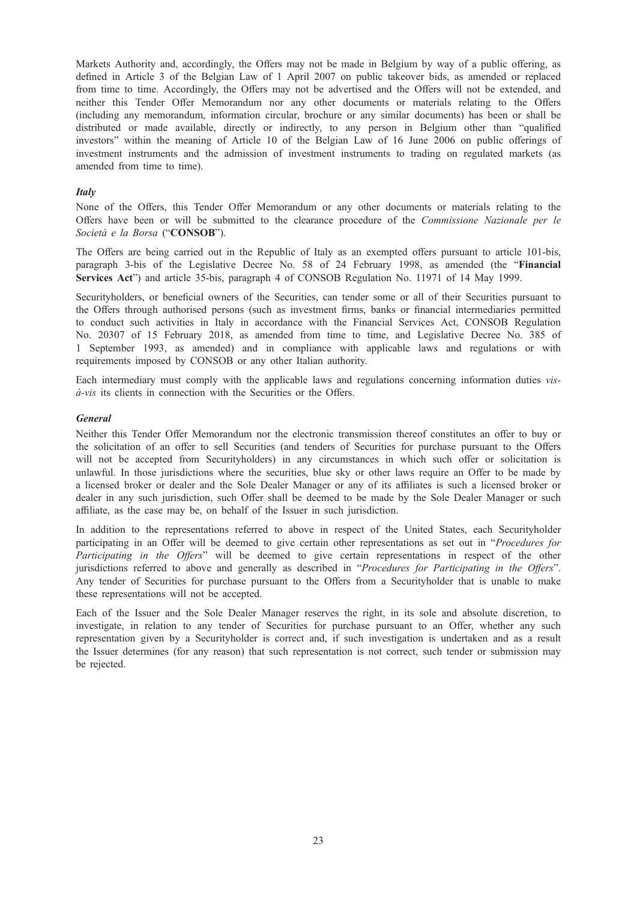Markets Authority and, accordingly, the Offers may not be made in Belgium by way of a public offering, as defined in Article 3 of the Belgian Law of 1 April 2007 on public takeover bids, as amended or replaced from time to time. Accordingly, the Offers may not be advertised and the Offers will not be extended, and neither this Tender Offer Memorandum nor any other documents or materials relating to the Offers (including any memorandum, information circular, brochure or any similar documents) has been or shall be distributed or made available, directly or indirectly, to any person in Belgium other than "qualified investors" within the meaning of Article 10 of the Belgian Law of 16 June 2006 on public offerings of investment instruments and the admission of investment instruments to trading on regulated markets (as amended from time to time).

### **Italy**

None of the Offers, this Tender Offer Memorandum or any other documents or materials relating to the Offers have been or will be submitted to the clearance procedure of the Commissione Nazionale per le Società e la Borsa ("CONSOB").

The Offers are being carried out in the Republic of Italy as an exempted offers pursuant to article 101-bis, paragraph 3-bis of the Legislative Decree No. 58 of 24 February 1998, as amended (the "Financial Services Act") and article 35-bis, paragraph 4 of CONSOB Regulation No. 11971 of 14 May 1999.

Securityholders, or beneficial owners of the Securities, can tender some or all of their Securities pursuant to the Offers through authorised persons (such as investment firms, banks or financial intermediaries permitted to conduct such activities in Italy in accordance with the Financial Services Act, CONSOB Regulation No. 20307 of 15 February 2018, as amended from time to time, and Legislative Decree No. 385 of 1 September 1993, as amended) and in compliance with applicable laws and regulations or with requirements imposed by CONSOB or any other Italian authority.

Each intermediary must comply with the applicable laws and regulations concerning information duties visà-vis its clients in connection with the Securities or the Offers.

### General

Neither this Tender Offer Memorandum nor the electronic transmission thereof constitutes an offer to buy or the solicitation of an offer to sell Securities (and tenders of Securities for purchase pursuant to the Offers will not be accepted from Securityholders) in any circumstances in which such offer or solicitation is unlawful. In those jurisdictions where the securities, blue sky or other laws require an Offer to be made by a licensed broker or dealer and the Sole Dealer Manager or any of its affiliates is such a licensed broker or dealer in any such jurisdiction, such Offer shall be deemed to be made by the Sole Dealer Manager or such affiliate, as the case may be, on behalf of the Issuer in such jurisdiction.

In addition to the representations referred to above in respect of the United States, each Securityholder participating in an Offer will be deemed to give certain other representations as set out in "Procedures for Participating in the Offers" will be deemed to give certain representations in respect of the other jurisdictions referred to above and generally as described in "Procedures for Participating in the Offers". Any tender of Securities for purchase pursuant to the Offers from a Securityholder that is unable to make these representations will not be accepted.

Each of the Issuer and the Sole Dealer Manager reserves the right, in its sole and absolute discretion, to investigate, in relation to any tender of Securities for purchase pursuant to an Offer, whether any such representation given by a Securityholder is correct and, if such investigation is undertaken and as a result the Issuer determines (for any reason) that such representation is not correct, such tender or submission may be rejected.